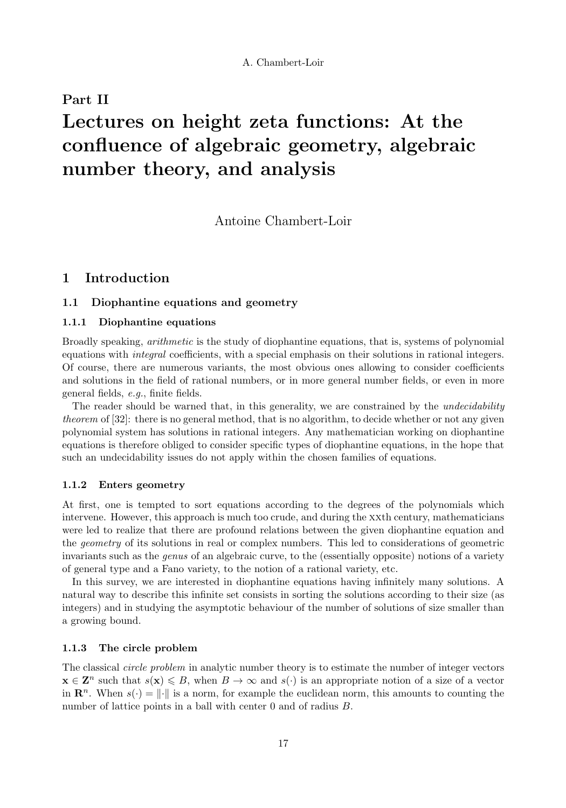# Part II Lectures on height zeta functions: At the confluence of algebraic geometry, algebraic number theory, and analysis

Antoine Chambert-Loir

# 1 Introduction

# 1.1 Diophantine equations and geometry

# 1.1.1 Diophantine equations

Broadly speaking, arithmetic is the study of diophantine equations, that is, systems of polynomial equations with *integral* coefficients, with a special emphasis on their solutions in rational integers. Of course, there are numerous variants, the most obvious ones allowing to consider coefficients and solutions in the field of rational numbers, or in more general number fields, or even in more general fields, e.g., finite fields.

The reader should be warned that, in this generality, we are constrained by the *undecidability* theorem of [32]: there is no general method, that is no algorithm, to decide whether or not any given polynomial system has solutions in rational integers. Any mathematician working on diophantine equations is therefore obliged to consider specific types of diophantine equations, in the hope that such an undecidability issues do not apply within the chosen families of equations.

# 1.1.2 Enters geometry

At first, one is tempted to sort equations according to the degrees of the polynomials which intervene. However, this approach is much too crude, and during the xxth century, mathematicians were led to realize that there are profound relations between the given diophantine equation and the geometry of its solutions in real or complex numbers. This led to considerations of geometric invariants such as the genus of an algebraic curve, to the (essentially opposite) notions of a variety of general type and a Fano variety, to the notion of a rational variety, etc.

In this survey, we are interested in diophantine equations having infinitely many solutions. A natural way to describe this infinite set consists in sorting the solutions according to their size (as integers) and in studying the asymptotic behaviour of the number of solutions of size smaller than a growing bound.

# 1.1.3 The circle problem

The classical *circle problem* in analytic number theory is to estimate the number of integer vectors  $\mathbf{x} \in \mathbf{Z}^n$  such that  $s(\mathbf{x}) \leq B$ , when  $B \to \infty$  and  $s(\cdot)$  is an appropriate notion of a size of a vector in  $\mathbf{R}^n$ . When  $s(\cdot) = ||\cdot||$  is a norm, for example the euclidean norm, this amounts to counting the number of lattice points in a ball with center 0 and of radius  $B$ .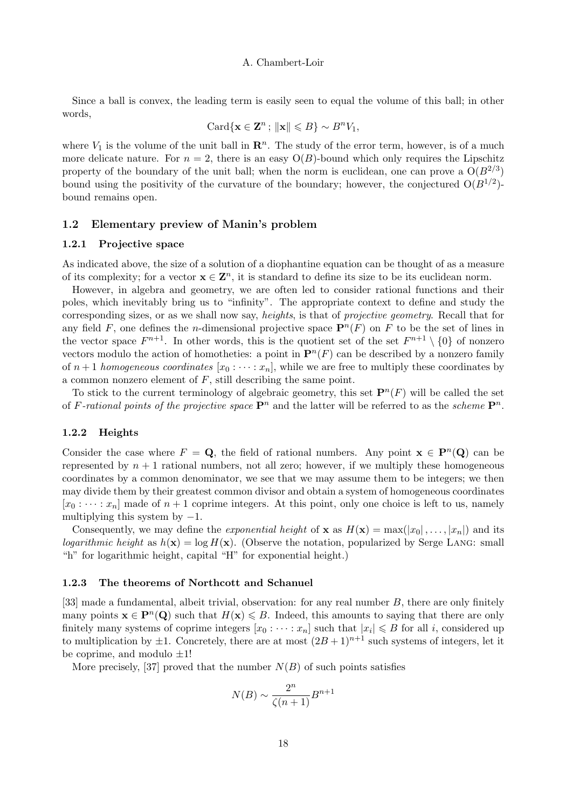Since a ball is convex, the leading term is easily seen to equal the volume of this ball; in other words,

$$
\operatorname{Card}\{\mathbf{x}\in\mathbf{Z}^n\,;\,\|\mathbf{x}\|\leqslant B\}\sim B^nV_1,
$$

where  $V_1$  is the volume of the unit ball in  $\mathbb{R}^n$ . The study of the error term, however, is of a much more delicate nature. For  $n = 2$ , there is an easy  $O(B)$ -bound which only requires the Lipschitz property of the boundary of the unit ball; when the norm is euclidean, one can prove a  $O(B^{2/3})$ bound using the positivity of the curvature of the boundary; however, the conjectured  $O(B^{1/2})$ bound remains open.

# 1.2 Elementary preview of Manin's problem

#### 1.2.1 Projective space

As indicated above, the size of a solution of a diophantine equation can be thought of as a measure of its complexity; for a vector  $\mathbf{x} \in \mathbf{Z}^n$ , it is standard to define its size to be its euclidean norm.

However, in algebra and geometry, we are often led to consider rational functions and their poles, which inevitably bring us to "infinity". The appropriate context to define and study the corresponding sizes, or as we shall now say, *heights*, is that of *projective geometry*. Recall that for any field F, one defines the *n*-dimensional projective space  $\mathbf{P}^n(F)$  on F to be the set of lines in the vector space  $F^{n+1}$ . In other words, this is the quotient set of the set  $F^{n+1} \setminus \{0\}$  of nonzero vectors modulo the action of homotheties: a point in  $\mathbf{P}^n(F)$  can be described by a nonzero family of  $n+1$  homogeneous coordinates  $[x_0 : \cdots : x_n]$ , while we are free to multiply these coordinates by a common nonzero element of  $F$ , still describing the same point.

To stick to the current terminology of algebraic geometry, this set  $\mathbf{P}^n(F)$  will be called the set of F-rational points of the projective space  $\mathbf{P}^n$  and the latter will be referred to as the scheme  $\mathbf{P}^n$ .

# 1.2.2 Heights

Consider the case where  $F = \mathbf{Q}$ , the field of rational numbers. Any point  $\mathbf{x} \in \mathbf{P}^n(\mathbf{Q})$  can be represented by  $n + 1$  rational numbers, not all zero; however, if we multiply these homogeneous coordinates by a common denominator, we see that we may assume them to be integers; we then may divide them by their greatest common divisor and obtain a system of homogeneous coordinates  $[x_0 : \cdots : x_n]$  made of  $n+1$  coprime integers. At this point, only one choice is left to us, namely multiplying this system by  $-1$ .

Consequently, we may define the *exponential height* of **x** as  $H(\mathbf{x}) = \max(|x_0|, \ldots, |x_n|)$  and its logarithmic height as  $h(\mathbf{x}) = \log H(\mathbf{x})$ . (Observe the notation, popularized by Serge LANG: small "h" for logarithmic height, capital "H" for exponential height.)

#### 1.2.3 The theorems of Northcott and Schanuel

[33] made a fundamental, albeit trivial, observation: for any real number B, there are only finitely many points  $\mathbf{x} \in \mathbf{P}^n(\mathbf{Q})$  such that  $H(\mathbf{x}) \leq B$ . Indeed, this amounts to saying that there are only finitely many systems of coprime integers  $[x_0 : \cdots : x_n]$  such that  $|x_i| \leq B$  for all i, considered up to multiplication by  $\pm 1$ . Concretely, there are at most  $(2B+1)^{n+1}$  such systems of integers, let it be coprime, and modulo  $\pm 1!$ 

More precisely, [37] proved that the number  $N(B)$  of such points satisfies

$$
N(B) \sim \frac{2^n}{\zeta(n+1)} B^{n+1}
$$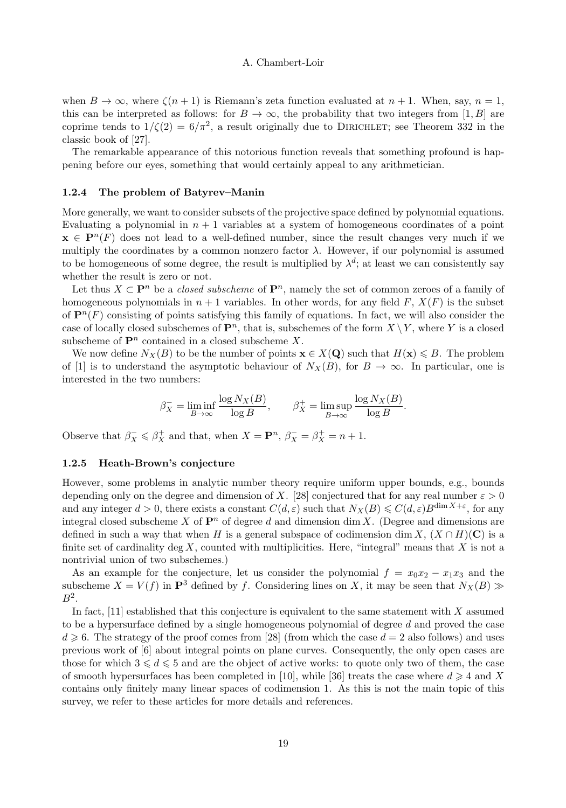when  $B \to \infty$ , where  $\zeta(n+1)$  is Riemann's zeta function evaluated at  $n+1$ . When, say,  $n=1$ , this can be interpreted as follows: for  $B \to \infty$ , the probability that two integers from [1, B] are coprime tends to  $1/\zeta(2) = 6/\pi^2$ , a result originally due to DIRICHLET; see Theorem 332 in the classic book of [27].

The remarkable appearance of this notorious function reveals that something profound is happening before our eyes, something that would certainly appeal to any arithmetician.

#### 1.2.4 The problem of Batyrev–Manin

More generally, we want to consider subsets of the projective space defined by polynomial equations. Evaluating a polynomial in  $n + 1$  variables at a system of homogeneous coordinates of a point  $\mathbf{x} \in \mathbf{P}^n(F)$  does not lead to a well-defined number, since the result changes very much if we multiply the coordinates by a common nonzero factor  $\lambda$ . However, if our polynomial is assumed to be homogeneous of some degree, the result is multiplied by  $\lambda^d$ ; at least we can consistently say whether the result is zero or not.

Let thus  $X \subset \mathbf{P}^n$  be a *closed subscheme* of  $\mathbf{P}^n$ , namely the set of common zeroes of a family of homogeneous polynomials in  $n + 1$  variables. In other words, for any field F,  $X(F)$  is the subset of  $\mathbf{P}^n(F)$  consisting of points satisfying this family of equations. In fact, we will also consider the case of locally closed subschemes of  $\mathbf{P}^n$ , that is, subschemes of the form  $X \setminus Y$ , where Y is a closed subscheme of  $\mathbf{P}^n$  contained in a closed subscheme X.

We now define  $N_X(B)$  to be the number of points  $\mathbf{x} \in X(\mathbf{Q})$  such that  $H(\mathbf{x}) \leq B$ . The problem of [1] is to understand the asymptotic behaviour of  $N_X(B)$ , for  $B \to \infty$ . In particular, one is interested in the two numbers:

$$
\beta_X^- = \liminf_{B \to \infty} \frac{\log N_X(B)}{\log B}, \qquad \beta_X^+ = \limsup_{B \to \infty} \frac{\log N_X(B)}{\log B}.
$$

Observe that  $\beta_X^- \leq \beta_X^+$  and that, when  $X = \mathbf{P}^n$ ,  $\beta_X^- = \beta_X^+ = n + 1$ .

# 1.2.5 Heath-Brown's conjecture

However, some problems in analytic number theory require uniform upper bounds, e.g., bounds depending only on the degree and dimension of X. [28] conjectured that for any real number  $\varepsilon > 0$ and any integer  $d > 0$ , there exists a constant  $C(d, \varepsilon)$  such that  $N_X(B) \leqslant C(d, \varepsilon)B^{\dim X + \varepsilon}$ , for any integral closed subscheme X of  $\mathbf{P}^n$  of degree d and dimension dim X. (Degree and dimensions are defined in such a way that when H is a general subspace of codimension dim X,  $(X \cap H)(\mathbf{C})$  is a finite set of cardinality deg  $X$ , counted with multiplicities. Here, "integral" means that  $X$  is not a nontrivial union of two subschemes.)

As an example for the conjecture, let us consider the polynomial  $f = x_0x_2 - x_1x_3$  and the subscheme  $X = V(f)$  in  $\mathbf{P}^3$  defined by f. Considering lines on X, it may be seen that  $N_X(B) \gg$  $B^2$ .

In fact,  $[11]$  established that this conjecture is equivalent to the same statement with X assumed to be a hypersurface defined by a single homogeneous polynomial of degree d and proved the case  $d \geq 6$ . The strategy of the proof comes from [28] (from which the case  $d = 2$  also follows) and uses previous work of [6] about integral points on plane curves. Consequently, the only open cases are those for which  $3 \leq d \leq 5$  and are the object of active works: to quote only two of them, the case of smooth hypersurfaces has been completed in [10], while [36] treats the case where  $d \geq 4$  and X contains only finitely many linear spaces of codimension 1. As this is not the main topic of this survey, we refer to these articles for more details and references.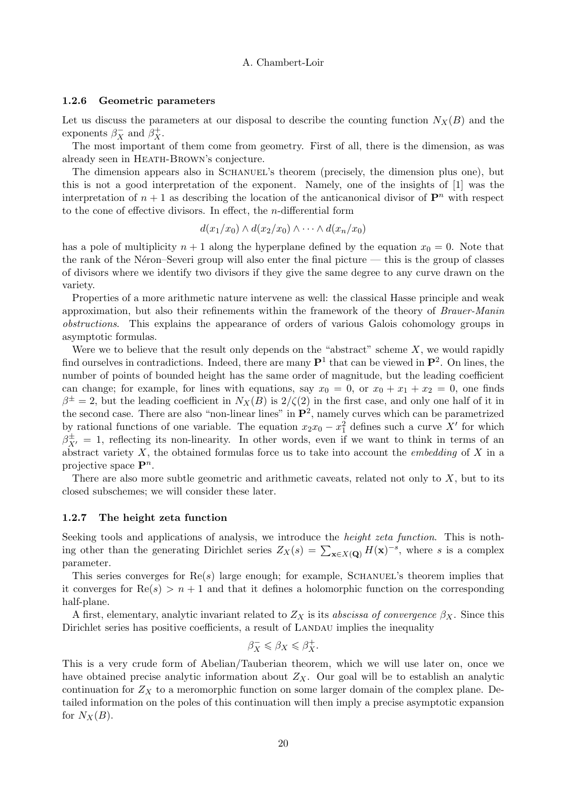#### 1.2.6 Geometric parameters

Let us discuss the parameters at our disposal to describe the counting function  $N_X(B)$  and the exponents  $\beta_X^-$  and  $\beta_X^+$ .

The most important of them come from geometry. First of all, there is the dimension, as was already seen in HEATH-BROWN's conjecture.

The dimension appears also in SCHANUEL's theorem (precisely, the dimension plus one), but this is not a good interpretation of the exponent. Namely, one of the insights of [1] was the interpretation of  $n + 1$  as describing the location of the anticanonical divisor of  $\mathbf{P}^n$  with respect to the cone of effective divisors. In effect, the  $n$ -differential form

$$
d(x_1/x_0) \wedge d(x_2/x_0) \wedge \cdots \wedge d(x_n/x_0)
$$

has a pole of multiplicity  $n + 1$  along the hyperplane defined by the equation  $x_0 = 0$ . Note that the rank of the Néron–Severi group will also enter the final picture  $-$  this is the group of classes of divisors where we identify two divisors if they give the same degree to any curve drawn on the variety.

Properties of a more arithmetic nature intervene as well: the classical Hasse principle and weak approximation, but also their refinements within the framework of the theory of Brauer-Manin obstructions. This explains the appearance of orders of various Galois cohomology groups in asymptotic formulas.

Were we to believe that the result only depends on the "abstract" scheme  $X$ , we would rapidly find ourselves in contradictions. Indeed, there are many  $\mathbf{P}^1$  that can be viewed in  $\mathbf{P}^2$ . On lines, the number of points of bounded height has the same order of magnitude, but the leading coefficient can change; for example, for lines with equations, say  $x_0 = 0$ , or  $x_0 + x_1 + x_2 = 0$ , one finds  $\beta^{\pm} = 2$ , but the leading coefficient in  $N_X(B)$  is  $2/\zeta(2)$  in the first case, and only one half of it in the second case. There are also "non-linear lines" in  $\mathbf{P}^2$ , namely curves which can be parametrized by rational functions of one variable. The equation  $x_2x_0 - x_1^2$  defines such a curve X' for which  $\beta_{X'}^{\pm} = 1$ , reflecting its non-linearity. In other words, even if we want to think in terms of an abstract variety  $X$ , the obtained formulas force us to take into account the *embedding* of  $X$  in a projective space  $\mathbf{P}^n$ .

There are also more subtle geometric and arithmetic caveats, related not only to  $X$ , but to its closed subschemes; we will consider these later.

#### 1.2.7 The height zeta function

Seeking tools and applications of analysis, we introduce the *height zeta function*. This is nothing other than the generating Dirichlet series  $Z_X(s) = \sum_{\mathbf{x} \in X(\mathbf{Q})} H(\mathbf{x})^{-s}$ , where s is a complex parameter.

This series converges for  $\text{Re}(s)$  large enough; for example, SCHANUEL's theorem implies that it converges for  $Re(s) > n + 1$  and that it defines a holomorphic function on the corresponding half-plane.

A first, elementary, analytic invariant related to  $Z_X$  is its abscissa of convergence  $\beta_X$ . Since this Dirichlet series has positive coefficients, a result of LANDAU implies the inequality

$$
\beta_X^- \leqslant \beta_X \leqslant \beta_X^+.
$$

This is a very crude form of Abelian/Tauberian theorem, which we will use later on, once we have obtained precise analytic information about  $Z_X$ . Our goal will be to establish an analytic continuation for  $Z_X$  to a meromorphic function on some larger domain of the complex plane. Detailed information on the poles of this continuation will then imply a precise asymptotic expansion for  $N_X(B)$ .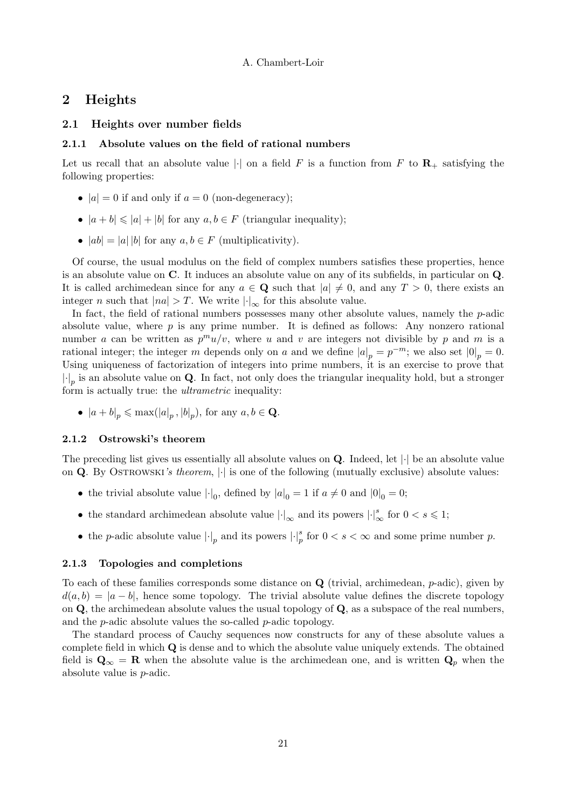# 2 Heights

# 2.1 Heights over number fields

#### 2.1.1 Absolute values on the field of rational numbers

Let us recall that an absolute value | $\cdot$ | on a field F is a function from F to  $\mathbb{R}_+$  satisfying the following properties:

- $|a| = 0$  if and only if  $a = 0$  (non-degeneracy);
- $|a + b| \leq |a| + |b|$  for any  $a, b \in F$  (triangular inequality);
- $|ab| = |a| |b|$  for any  $a, b \in F$  (multiplicativity).

Of course, the usual modulus on the field of complex numbers satisfies these properties, hence is an absolute value on C. It induces an absolute value on any of its subfields, in particular on Q. It is called archimedean since for any  $a \in \mathbf{Q}$  such that  $|a| \neq 0$ , and any  $T > 0$ , there exists an integer *n* such that  $|na| > T$ . We write  $|\cdot|_{\infty}$  for this absolute value.

In fact, the field of rational numbers possesses many other absolute values, namely the  $p$ -adic absolute value, where  $p$  is any prime number. It is defined as follows: Any nonzero rational number a can be written as  $p^m u/v$ , where u and v are integers not divisible by p and m is a rational integer; the integer m depends only on a and we define  $|a|_p = p^{-m}$ ; we also set  $|0|_p = 0$ . Using uniqueness of factorization of integers into prime numbers, it is an exercise to prove that  $|\cdot|_p$  is an absolute value on **Q**. In fact, not only does the triangular inequality hold, but a stronger form is actually true: the *ultrametric* inequality:

•  $|a + b|_p \le \max(|a|_p, |b|_p)$ , for any  $a, b \in \mathbf{Q}$ .

# 2.1.2 Ostrowski's theorem

The preceding list gives us essentially all absolute values on  $Q$ . Indeed, let  $|\cdot|$  be an absolute value on Q. By OSTROWSKI's theorem,  $|\cdot|$  is one of the following (mutually exclusive) absolute values:

- the trivial absolute value  $|\cdot|_0$ , defined by  $|a|_0 = 1$  if  $a \neq 0$  and  $|0|_0 = 0$ ;
- the standard archimedean absolute value  $\lvert \cdot \rvert_{\infty}$  and its powers  $\lvert \cdot \rvert_{\infty}^{s}$  for  $0 < s \leq 1$ ;
- the *p*-adic absolute value  $|\cdot|_p$  and its powers  $|\cdot|_p^s$  for  $0 < s < \infty$  and some prime number *p*.

# 2.1.3 Topologies and completions

To each of these families corresponds some distance on  $\bf{Q}$  (trivial, archimedean,  $p$ -adic), given by  $d(a, b) = |a - b|$ , hence some topology. The trivial absolute value defines the discrete topology on  $\mathbf Q$ , the archimedean absolute values the usual topology of  $\mathbf Q$ , as a subspace of the real numbers, and the  $p$ -adic absolute values the so-called  $p$ -adic topology.

The standard process of Cauchy sequences now constructs for any of these absolute values a complete field in which  $Q$  is dense and to which the absolute value uniquely extends. The obtained field is  $\mathbf{Q}_{\infty} = \mathbf{R}$  when the absolute value is the archimedean one, and is written  $\mathbf{Q}_p$  when the absolute value is p-adic.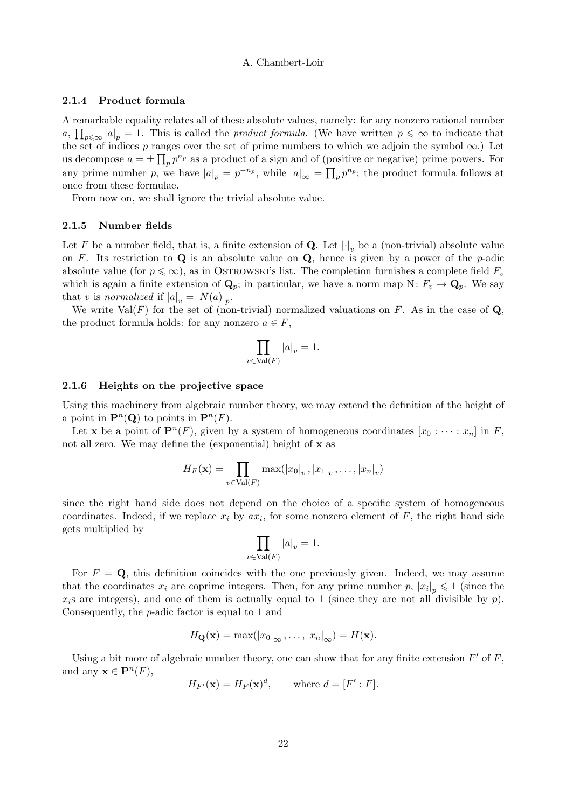#### 2.1.4 Product formula

A remarkable equality relates all of these absolute values, namely: for any nonzero rational number  $a, \prod_{p \leq \infty} |a|_p = 1$ . This is called the *product formula*. (We have written  $p \leq \infty$  to indicate that the set of indices p ranges over the set of prime numbers to which we adjoin the symbol  $\infty$ .) Let us decompose  $a = \pm \prod_p p^{n_p}$  as a product of a sign and of (positive or negative) prime powers. For any prime number p, we have  $|a|_p = p^{-n_p}$ , while  $|a|_\infty = \prod_p p^{n_p}$ ; the product formula follows at once from these formulae.

From now on, we shall ignore the trivial absolute value.

## 2.1.5 Number fields

Let F be a number field, that is, a finite extension of **Q**. Let  $|\cdot|_v$  be a (non-trivial) absolute value on F. Its restriction to  $\bf{Q}$  is an absolute value on  $\bf{Q}$ , hence is given by a power of the *p*-adic absolute value (for  $p \leqslant \infty$ ), as in OSTROWSKI's list. The completion furnishes a complete field  $F_v$ which is again a finite extension of  $\mathbf{Q}_p$ ; in particular, we have a norm map N:  $F_v \to \mathbf{Q}_p$ . We say that v is normalized if  $|a|_v = |N(a)|_p$ .

We write  $Val(F)$  for the set of (non-trivial) normalized valuations on F. As in the case of  $Q$ , the product formula holds: for any nonzero  $a \in F$ ,

$$
\prod_{v \in \text{Val}(F)} |a|_v = 1.
$$

#### 2.1.6 Heights on the projective space

Using this machinery from algebraic number theory, we may extend the definition of the height of a point in  $\mathbf{P}^n(\mathbf{Q})$  to points in  $\mathbf{P}^n(F)$ .

Let **x** be a point of  $\mathbf{P}^n(F)$ , given by a system of homogeneous coordinates  $[x_0 : \cdots : x_n]$  in F, not all zero. We may define the (exponential) height of x as

$$
H_F(\mathbf{x}) = \prod_{v \in \text{Val}(F)} \max(|x_0|_v, |x_1|_v, \dots, |x_n|_v)
$$

since the right hand side does not depend on the choice of a specific system of homogeneous coordinates. Indeed, if we replace  $x_i$  by  $ax_i$ , for some nonzero element of F, the right hand side gets multiplied by

$$
\prod_{v \in \text{Val}(F)} |a|_v = 1.
$$

For  $F = \mathbf{Q}$ , this definition coincides with the one previously given. Indeed, we may assume that the coordinates  $x_i$  are coprime integers. Then, for any prime number p,  $|x_i|_p \leq 1$  (since the  $x_i$  are integers), and one of them is actually equal to 1 (since they are not all divisible by p). Consequently, the p-adic factor is equal to 1 and

$$
H_{\mathbf{Q}}(\mathbf{x}) = \max(|x_0|_{\infty}, \dots, |x_n|_{\infty}) = H(\mathbf{x}).
$$

Using a bit more of algebraic number theory, one can show that for any finite extension  $F'$  of  $F$ , and any  $\mathbf{x} \in \mathbf{P}^n(F)$ ,

$$
H_{F'}(\mathbf{x}) = H_F(\mathbf{x})^d, \quad \text{where } d = [F' : F].
$$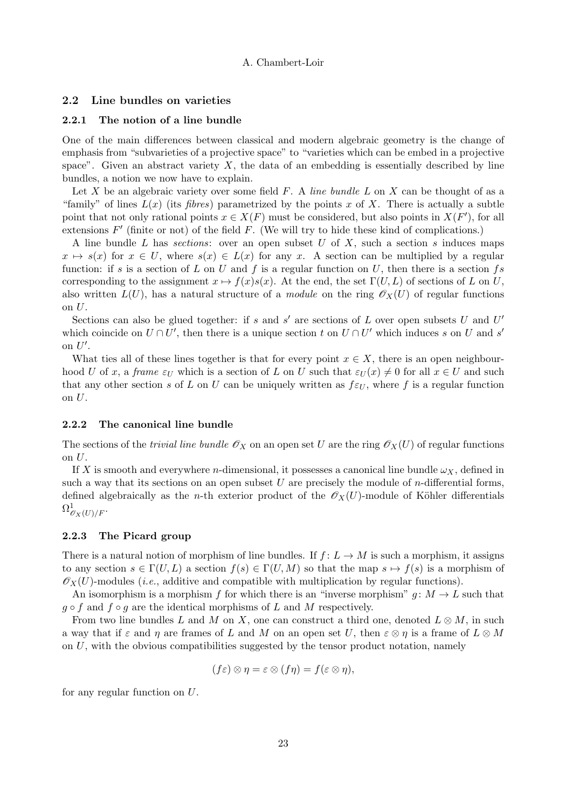## 2.2 Line bundles on varieties

## 2.2.1 The notion of a line bundle

One of the main differences between classical and modern algebraic geometry is the change of emphasis from "subvarieties of a projective space" to "varieties which can be embed in a projective space". Given an abstract variety  $X$ , the data of an embedding is essentially described by line bundles, a notion we now have to explain.

Let X be an algebraic variety over some field  $F$ . A line bundle  $L$  on  $X$  can be thought of as a "family" of lines  $L(x)$  (its *fibres*) parametrized by the points x of X. There is actually a subtle point that not only rational points  $x \in X(F)$  must be considered, but also points in  $X(F')$ , for all extensions  $F'$  (finite or not) of the field  $F$ . (We will try to hide these kind of complications.)

A line bundle L has sections: over an open subset U of X, such a section s induces maps  $x \mapsto s(x)$  for  $x \in U$ , where  $s(x) \in L(x)$  for any x. A section can be multiplied by a regular function: if s is a section of L on U and f is a regular function on U, then there is a section fs corresponding to the assignment  $x \mapsto f(x)s(x)$ . At the end, the set  $\Gamma(U, L)$  of sections of L on U, also written  $L(U)$ , has a natural structure of a *module* on the ring  $\mathscr{O}_X(U)$  of regular functions on  $U$ .

Sections can also be glued together: if s and s' are sections of L over open subsets U and  $U'$ which coincide on  $U \cap U'$ , then there is a unique section t on  $U \cap U'$  which induces s on U and s' on  $U'$ .

What ties all of these lines together is that for every point  $x \in X$ , there is an open neighbourhood U of x, a frame  $\varepsilon_U$  which is a section of L on U such that  $\varepsilon_U(x) \neq 0$  for all  $x \in U$  and such that any other section s of L on U can be uniquely written as  $f \epsilon U$ , where f is a regular function on  $U$ .

#### 2.2.2 The canonical line bundle

The sections of the *trivial line bundle*  $\mathscr{O}_X$  on an open set U are the ring  $\mathscr{O}_X(U)$  of regular functions on U.

If X is smooth and everywhere n-dimensional, it possesses a canonical line bundle  $\omega_X$ , defined in such a way that its sections on an open subset  $U$  are precisely the module of *n*-differential forms, defined algebraically as the *n*-th exterior product of the  $\mathscr{O}_X(U)$ -module of Köhler differentials  $\Omega^1_{\mathscr{O}_X(U)/F}.$ 

# 2.2.3 The Picard group

There is a natural notion of morphism of line bundles. If  $f: L \to M$  is such a morphism, it assigns to any section  $s \in \Gamma(U, L)$  a section  $f(s) \in \Gamma(U, M)$  so that the map  $s \mapsto f(s)$  is a morphism of  $\mathscr{O}_X(U)$ -modules (*i.e.*, additive and compatible with multiplication by regular functions).

An isomorphism is a morphism f for which there is an "inverse morphism" g:  $M \to L$  such that  $g \circ f$  and  $f \circ g$  are the identical morphisms of L and M respectively.

From two line bundles L and M on X, one can construct a third one, denoted  $L \otimes M$ , in such a way that if  $\varepsilon$  and  $\eta$  are frames of L and M on an open set U, then  $\varepsilon \otimes \eta$  is a frame of  $L \otimes M$ on  $U$ , with the obvious compatibilities suggested by the tensor product notation, namely

$$
(f\varepsilon)\otimes\eta=\varepsilon\otimes(f\eta)=f(\varepsilon\otimes\eta),
$$

for any regular function on U.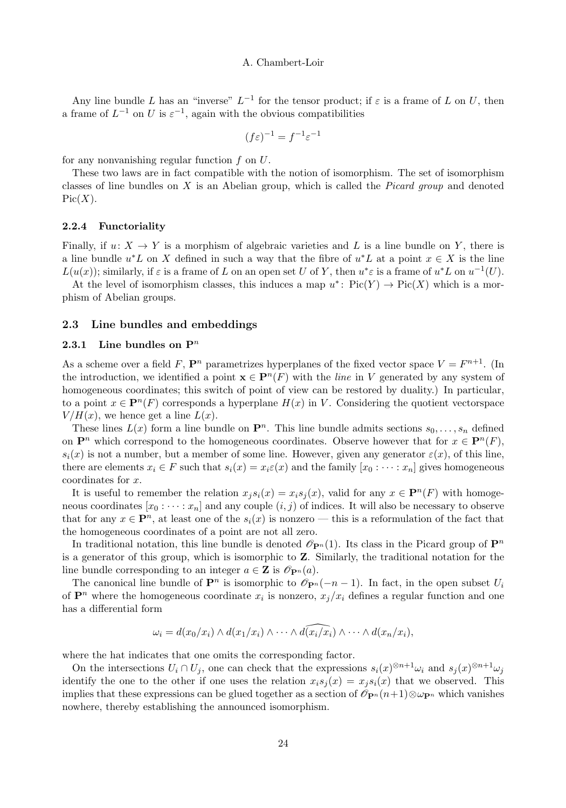Any line bundle L has an "inverse"  $L^{-1}$  for the tensor product; if  $\varepsilon$  is a frame of L on U, then a frame of  $L^{-1}$  on U is  $\varepsilon^{-1}$ , again with the obvious compatibilities

$$
(f\varepsilon)^{-1} = f^{-1}\varepsilon^{-1}
$$

for any nonvanishing regular function  $f$  on  $U$ .

These two laws are in fact compatible with the notion of isomorphism. The set of isomorphism classes of line bundles on  $X$  is an Abelian group, which is called the *Picard group* and denoted  $Pic(X).$ 

# 2.2.4 Functoriality

Finally, if  $u: X \to Y$  is a morphism of algebraic varieties and L is a line bundle on Y, there is a line bundle  $u^*L$  on X defined in such a way that the fibre of  $u^*L$  at a point  $x \in X$  is the line  $L(u(x))$ ; similarly, if  $\varepsilon$  is a frame of L on an open set U of Y, then  $u^*\varepsilon$  is a frame of  $u^*L$  on  $u^{-1}(U)$ .

At the level of isomorphism classes, this induces a map  $u^* \colon Pic(Y) \to Pic(X)$  which is a morphism of Abelian groups.

# 2.3 Line bundles and embeddings

# 2.3.1 Line bundles on  $\mathbb{P}^n$

As a scheme over a field F,  $\mathbf{P}^n$  parametrizes hyperplanes of the fixed vector space  $V = F^{n+1}$ . (In the introduction, we identified a point  $\mathbf{x} \in \mathbf{P}^n(F)$  with the *line* in V generated by any system of homogeneous coordinates; this switch of point of view can be restored by duality.) In particular, to a point  $x \in \mathbf{P}^n(F)$  corresponds a hyperplane  $H(x)$  in V. Considering the quotient vectorspace  $V/H(x)$ , we hence get a line  $L(x)$ .

These lines  $L(x)$  form a line bundle on  $\mathbf{P}^n$ . This line bundle admits sections  $s_0, \ldots, s_n$  defined on  $\mathbf{P}^n$  which correspond to the homogeneous coordinates. Observe however that for  $x \in \mathbf{P}^n(F)$ ,  $s_i(x)$  is not a number, but a member of some line. However, given any generator  $\varepsilon(x)$ , of this line, there are elements  $x_i \in F$  such that  $s_i(x) = x_i \varepsilon(x)$  and the family  $[x_0 : \cdots : x_n]$  gives homogeneous coordinates for x.

It is useful to remember the relation  $x_j s_i(x) = x_i s_j(x)$ , valid for any  $x \in \mathbf{P}^n(F)$  with homogeneous coordinates  $[x_0 : \cdots : x_n]$  and any couple  $(i, j)$  of indices. It will also be necessary to observe that for any  $x \in \mathbf{P}^n$ , at least one of the  $s_i(x)$  is nonzero — this is a reformulation of the fact that the homogeneous coordinates of a point are not all zero.

In traditional notation, this line bundle is denoted  $\mathscr{O}_{\mathbf{P}^n}(1)$ . Its class in the Picard group of  $\mathbf{P}^n$ is a generator of this group, which is isomorphic to Z. Similarly, the traditional notation for the line bundle corresponding to an integer  $a \in \mathbf{Z}$  is  $\mathcal{O}_{\mathbf{P}^n}(a)$ .

The canonical line bundle of  $\mathbf{P}^n$  is isomorphic to  $\mathscr{O}_{\mathbf{P}^n}(-n-1)$ . In fact, in the open subset  $U_i$ of  $\mathbf{P}^n$  where the homogeneous coordinate  $x_i$  is nonzero,  $x_j/x_i$  defines a regular function and one has a differential form

$$
\omega_i = d(x_0/x_i) \wedge d(x_1/x_i) \wedge \cdots \wedge d(x_i/x_i) \wedge \cdots \wedge d(x_n/x_i),
$$

where the hat indicates that one omits the corresponding factor.

On the intersections  $U_i \cap U_j$ , one can check that the expressions  $s_i(x)^{\otimes n+1}\omega_i$  and  $s_j(x)^{\otimes n+1}\omega_j$ identify the one to the other if one uses the relation  $x_i s_j(x) = x_j s_i(x)$  that we observed. This implies that these expressions can be glued together as a section of  $\mathcal{O}_{\mathbf{P}^n}(n+1)\otimes\omega_{\mathbf{P}^n}$  which vanishes nowhere, thereby establishing the announced isomorphism.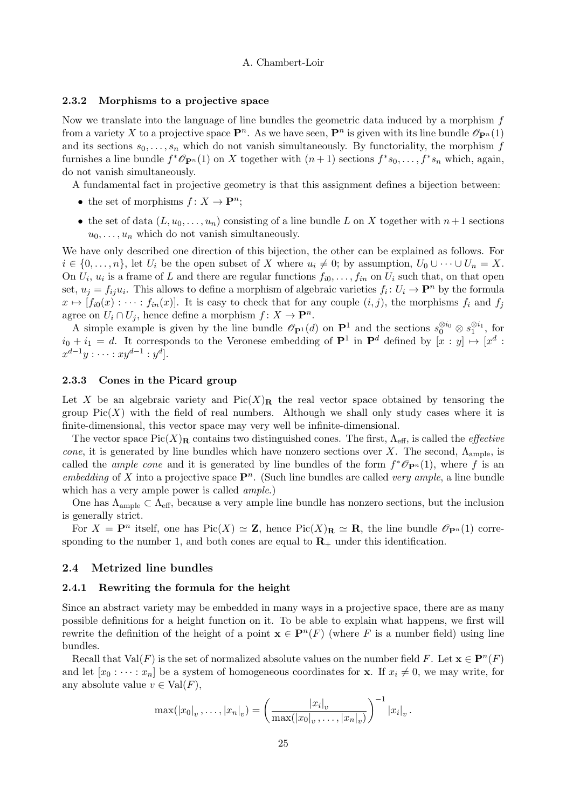#### 2.3.2 Morphisms to a projective space

Now we translate into the language of line bundles the geometric data induced by a morphism f from a variety X to a projective space  $\mathbf{P}^n$ . As we have seen,  $\mathbf{P}^n$  is given with its line bundle  $\mathscr{O}_{\mathbf{P}^n}(1)$ and its sections  $s_0, \ldots, s_n$  which do not vanish simultaneously. By functoriality, the morphism f furnishes a line bundle  $f^*\mathcal{O}_{\mathbf{P}^n}(1)$  on X together with  $(n+1)$  sections  $f^*s_0, \ldots, f^*s_n$  which, again, do not vanish simultaneously.

A fundamental fact in projective geometry is that this assignment defines a bijection between:

- the set of morphisms  $f: X \to \mathbf{P}^n$ ;
- the set of data  $(L, u_0, \ldots, u_n)$  consisting of a line bundle L on X together with  $n+1$  sections  $u_0, \ldots, u_n$  which do not vanish simultaneously.

We have only described one direction of this bijection, the other can be explained as follows. For  $i \in \{0, \ldots, n\}$ , let  $U_i$  be the open subset of X where  $u_i \neq 0$ ; by assumption,  $U_0 \cup \cdots \cup U_n = X$ . On  $U_i$ ,  $u_i$  is a frame of L and there are regular functions  $f_{i0}, \ldots, f_{in}$  on  $U_i$  such that, on that open set,  $u_j = f_{ij}u_i$ . This allows to define a morphism of algebraic varieties  $f_i : U_i \to \mathbf{P}^n$  by the formula  $x \mapsto [f_{i0}(x) : \cdots : f_{in}(x)]$ . It is easy to check that for any couple  $(i, j)$ , the morphisms  $f_i$  and  $f_j$ agree on  $U_i \cap U_j$ , hence define a morphism  $f: X \to \mathbf{P}^n$ .

A simple example is given by the line bundle  $\mathscr{O}_{\mathbf{P}^1}(d)$  on  $\mathbf{P}^1$  and the sections  $s_0^{\otimes i_0} \otimes s_1^{\otimes i_1}$ , for  $i_0 + i_1 = d$ . It corresponds to the Veronese embedding of  $\mathbf{P}^1$  in  $\mathbf{P}^d$  defined by  $[x : y] \mapsto [x^d :$  $x^{d-1}y : \cdots : xy^{d-1} : y^d$ .

# 2.3.3 Cones in the Picard group

Let X be an algebraic variety and  $Pic(X)_R$  the real vector space obtained by tensoring the group  $Pic(X)$  with the field of real numbers. Although we shall only study cases where it is finite-dimensional, this vector space may very well be infinite-dimensional.

The vector space  $Pic(X)_\mathbf{R}$  contains two distinguished cones. The first,  $\Lambda_{\text{eff}}$ , is called the *effective* cone, it is generated by line bundles which have nonzero sections over X. The second,  $\Lambda_{\rm ample}$ , is called the *ample cone* and it is generated by line bundles of the form  $f^*\mathscr{O}_{\mathbf{P}^n}(1)$ , where f is an embedding of X into a projective space  $\mathbf{P}^n$ . (Such line bundles are called very ample, a line bundle which has a very ample power is called *ample*.)

One has  $\Lambda_{\rm ample} \subset \Lambda_{\rm eff}$ , because a very ample line bundle has nonzero sections, but the inclusion is generally strict.

For  $X = \mathbf{P}^n$  itself, one has  $Pic(X) \simeq \mathbf{Z}$ , hence  $Pic(X)_{\mathbf{R}} \simeq \mathbf{R}$ , the line bundle  $\mathscr{O}_{\mathbf{P}^n}(1)$  corresponding to the number 1, and both cones are equal to  $\mathbf{R}_{+}$  under this identification.

# 2.4 Metrized line bundles

#### 2.4.1 Rewriting the formula for the height

Since an abstract variety may be embedded in many ways in a projective space, there are as many possible definitions for a height function on it. To be able to explain what happens, we first will rewrite the definition of the height of a point  $\mathbf{x} \in \mathbf{P}^n(F)$  (where F is a number field) using line bundles.

Recall that  $Val(F)$  is the set of normalized absolute values on the number field F. Let  $\mathbf{x} \in \mathbf{P}^n(F)$ and let  $[x_0 : \cdots : x_n]$  be a system of homogeneous coordinates for **x**. If  $x_i \neq 0$ , we may write, for any absolute value  $v \in Val(F)$ ,

$$
\max(|x_0|_v,\ldots,|x_n|_v)=\left(\frac{|x_i|_v}{\max(|x_0|_v,\ldots,|x_n|_v)}\right)^{-1}|x_i|_v.
$$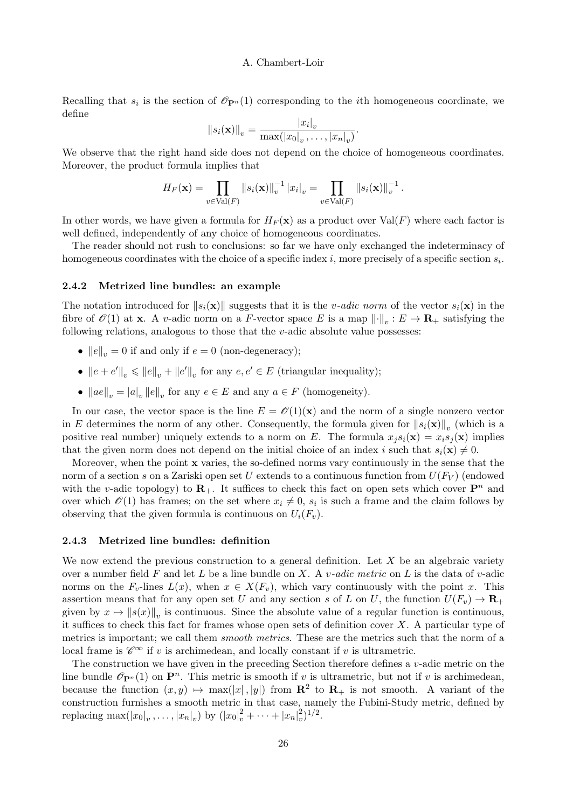Recalling that  $s_i$  is the section of  $\mathcal{O}_{\mathbf{P}^n}(1)$  corresponding to the *i*th homogeneous coordinate, we define

$$
||s_i(\mathbf{x})||_v = \frac{|x_i|_v}{\max(|x_0|_v, \ldots, |x_n|_v)}.
$$

We observe that the right hand side does not depend on the choice of homogeneous coordinates. Moreover, the product formula implies that

$$
H_F(\mathbf{x}) = \prod_{v \in \text{Val}(F)} \|s_i(\mathbf{x})\|_v^{-1} |x_i|_v = \prod_{v \in \text{Val}(F)} \|s_i(\mathbf{x})\|_v^{-1}.
$$

In other words, we have given a formula for  $H_F(\mathbf{x})$  as a product over  $Val(F)$  where each factor is well defined, independently of any choice of homogeneous coordinates.

The reader should not rush to conclusions: so far we have only exchanged the indeterminacy of homogeneous coordinates with the choice of a specific index i, more precisely of a specific section  $s_i$ .

#### 2.4.2 Metrized line bundles: an example

The notation introduced for  $||s_i(\mathbf{x})||$  suggests that it is the v-adic norm of the vector  $s_i(\mathbf{x})$  in the fibre of  $\mathscr{O}(1)$  at **x**. A v-adic norm on a F-vector space E is a map  $\|\cdot\|_v : E \to \mathbf{R}_+$  satisfying the following relations, analogous to those that the  $v$ -adic absolute value possesses:

- $||e||_v = 0$  if and only if  $e = 0$  (non-degeneracy);
- $||e + e'||_v \le ||e||_v + ||e'||_v$  for any  $e, e' \in E$  (triangular inequality);
- $\|ae\|_v = |a|_v \|e\|_v$  for any  $e \in E$  and any  $a \in F$  (homogeneity).

In our case, the vector space is the line  $E = \mathcal{O}(1)(\mathbf{x})$  and the norm of a single nonzero vector in E determines the norm of any other. Consequently, the formula given for  $||s_i(\mathbf{x})||_v$  (which is a positive real number) uniquely extends to a norm on E. The formula  $x_i s_i(\mathbf{x}) = x_i s_i(\mathbf{x})$  implies that the given norm does not depend on the initial choice of an index i such that  $s_i(\mathbf{x}) \neq 0$ .

Moreover, when the point x varies, the so-defined norms vary continuously in the sense that the norm of a section s on a Zariski open set U extends to a continuous function from  $U(F_V)$  (endowed with the v-adic topology) to  $\mathbf{R}_{+}$ . It suffices to check this fact on open sets which cover  $\mathbf{P}^{n}$  and over which  $\mathcal{O}(1)$  has frames; on the set where  $x_i \neq 0$ ,  $s_i$  is such a frame and the claim follows by observing that the given formula is continuous on  $U_i(F_v)$ .

## 2.4.3 Metrized line bundles: definition

We now extend the previous construction to a general definition. Let  $X$  be an algebraic variety over a number field F and let L be a line bundle on X. A  $v\text{-}adic$  metric on L is the data of  $v\text{-}adic$ norms on the  $F_v$ -lines  $L(x)$ , when  $x \in X(F_v)$ , which vary continuously with the point x. This assertion means that for any open set U and any section s of L on U, the function  $U(F_v) \to \mathbf{R}_+$ given by  $x \mapsto ||s(x)||_v$  is continuous. Since the absolute value of a regular function is continuous, it suffices to check this fact for frames whose open sets of definition cover  $X$ . A particular type of metrics is important; we call them *smooth metrics*. These are the metrics such that the norm of a local frame is  $\mathscr{C}^{\infty}$  if v is archimedean, and locally constant if v is ultrametric.

The construction we have given in the preceding Section therefore defines a  $v$ -adic metric on the line bundle  $\mathscr{O}_{\mathbf{P}^n}(1)$  on  $\mathbf{P}^n$ . This metric is smooth if v is ultrametric, but not if v is archimedean, because the function  $(x, y) \mapsto \max(|x|, |y|)$  from  $\mathbb{R}^2$  to  $\mathbb{R}_+$  is not smooth. A variant of the construction furnishes a smooth metric in that case, namely the Fubini-Study metric, defined by replacing  $\max(|x_0|_v, \ldots, |x_n|_v)$  by  $(|x_0|_v^2 + \cdots + |x_n|_v^2)^{1/2}$ .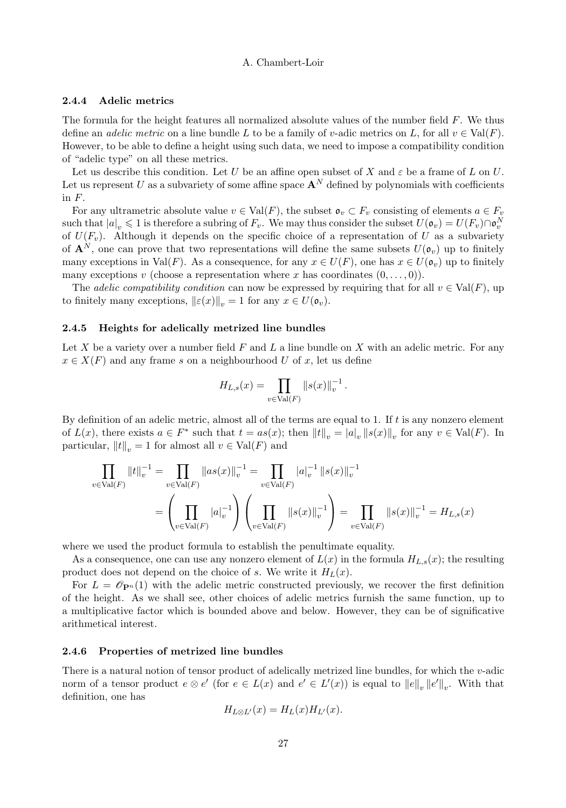#### 2.4.4 Adelic metrics

The formula for the height features all normalized absolute values of the number field  $F$ . We thus define an *adelic metric* on a line bundle L to be a family of v-adic metrics on L, for all  $v \in Val(F)$ . However, to be able to define a height using such data, we need to impose a compatibility condition of "adelic type" on all these metrics.

Let us describe this condition. Let U be an affine open subset of X and  $\varepsilon$  be a frame of L on U. Let us represent U as a subvariety of some affine space  $\mathbf{A}^N$  defined by polynomials with coefficients in F.

For any ultrametric absolute value  $v \in Val(F)$ , the subset  $\mathfrak{o}_v \subset F_v$  consisting of elements  $a \in F_v$ such that  $|a|_v \leq 1$  is therefore a subring of  $F_v$ . We may thus consider the subset  $U(\mathfrak{o}_v) = U(F_v) \cap \mathfrak{o}_v^N$ of  $U(F_v)$ . Although it depends on the specific choice of a representation of U as a subvariety of  $\mathbf{A}^{N}$ , one can prove that two representations will define the same subsets  $U(\mathfrak{o}_{v})$  up to finitely many exceptions in Val(F). As a consequence, for any  $x \in U(F)$ , one has  $x \in U(\mathfrak{o}_v)$  up to finitely many exceptions v (choose a representation where x has coordinates  $(0, \ldots, 0)$ ).

The *adelic compatibility condition* can now be expressed by requiring that for all  $v \in Val(F)$ , up to finitely many exceptions,  $\|\varepsilon(x)\|_{v} = 1$  for any  $x \in U(\mathfrak{o}_{v}).$ 

#### 2.4.5 Heights for adelically metrized line bundles

Let X be a variety over a number field  $F$  and  $L$  a line bundle on  $X$  with an adelic metric. For any  $x \in X(F)$  and any frame s on a neighbourhood U of x, let us define

$$
H_{L,s}(x) = \prod_{v \in \text{Val}(F)} ||s(x)||_v^{-1}.
$$

By definition of an adelic metric, almost all of the terms are equal to 1. If t is any nonzero element of  $L(x)$ , there exists  $a \in F^*$  such that  $t = as(x)$ ; then  $||t||_v = |a|_v ||s(x)||_v$  for any  $v \in Val(F)$ . In particular,  $||t||_v = 1$  for almost all  $v \in Val(F)$  and

$$
\prod_{v \in \text{Val}(F)} ||t||_v^{-1} = \prod_{v \in \text{Val}(F)} ||as(x)||_v^{-1} = \prod_{v \in \text{Val}(F)} |a|_v^{-1} ||s(x)||_v^{-1}
$$

$$
= \left(\prod_{v \in \text{Val}(F)} |a|_v^{-1}\right) \left(\prod_{v \in \text{Val}(F)} ||s(x)||_v^{-1}\right) = \prod_{v \in \text{Val}(F)} ||s(x)||_v^{-1} = H_{L,s}(x)
$$

where we used the product formula to establish the penultimate equality.

As a consequence, one can use any nonzero element of  $L(x)$  in the formula  $H_{L,s}(x)$ ; the resulting product does not depend on the choice of s. We write it  $H_L(x)$ .

For  $L = \mathscr{O}_{\mathbf{P}^n}(1)$  with the adelic metric constructed previously, we recover the first definition of the height. As we shall see, other choices of adelic metrics furnish the same function, up to a multiplicative factor which is bounded above and below. However, they can be of significative arithmetical interest.

#### 2.4.6 Properties of metrized line bundles

There is a natural notion of tensor product of adelically metrized line bundles, for which the  $v$ -adic norm of a tensor product  $e \otimes e'$  (for  $e \in L(x)$  and  $e' \in L'(x)$ ) is equal to  $||e||_v ||e'||_v$ . With that definition, one has

$$
H_{L\otimes L'}(x) = H_L(x)H_{L'}(x).
$$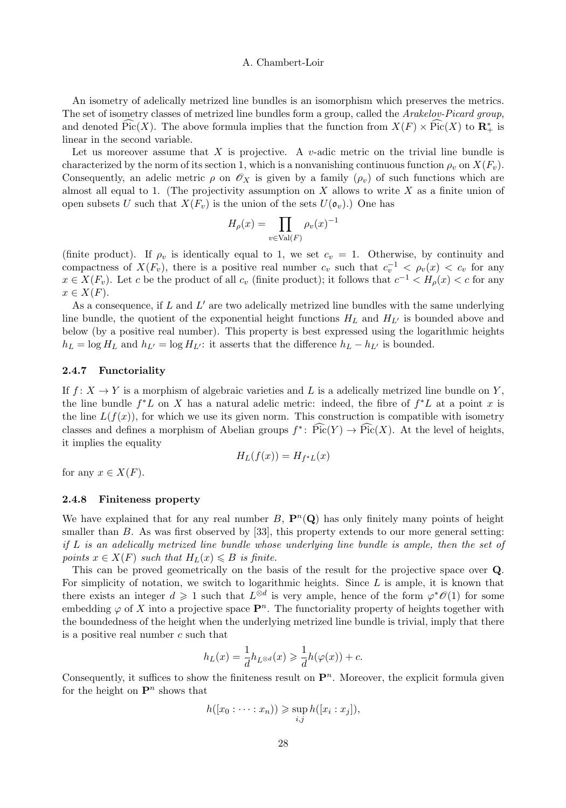An isometry of adelically metrized line bundles is an isomorphism which preserves the metrics. The set of isometry classes of metrized line bundles form a group, called the Arakelov-Picard group, and denoted Pic(X). The above formula implies that the function from  $X(F) \times Pic(X)$  to  $\mathbb{R}^*_+$  is linear in the second variable.

Let us moreover assume that X is projective. A v-adic metric on the trivial line bundle is characterized by the norm of its section 1, which is a nonvanishing continuous function  $\rho_v$  on  $X(F_v)$ . Consequently, an adelic metric  $\rho$  on  $\mathscr{O}_X$  is given by a family  $(\rho_v)$  of such functions which are almost all equal to 1. (The projectivity assumption on X allows to write X as a finite union of open subsets U such that  $X(F_v)$  is the union of the sets  $U(\mathfrak{o}_v)$ .) One has

$$
H_{\rho}(x) = \prod_{v \in \text{Val}(F)} \rho_v(x)^{-1}
$$

(finite product). If  $\rho_v$  is identically equal to 1, we set  $c_v = 1$ . Otherwise, by continuity and compactness of  $X(F_v)$ , there is a positive real number  $c_v$  such that  $c_v^{-1} < \rho_v(x) < c_v$  for any  $x \in X(F_v)$ . Let c be the product of all  $c_v$  (finite product); it follows that  $c^{-1} < H_\rho(x) < c$  for any  $x \in X(F)$ .

As a consequence, if  $L$  and  $L'$  are two adelically metrized line bundles with the same underlying line bundle, the quotient of the exponential height functions  $H_L$  and  $H_{L'}$  is bounded above and below (by a positive real number). This property is best expressed using the logarithmic heights  $h_L = \log H_L$  and  $h_{L'} = \log H_{L'}$ : it asserts that the difference  $h_L - h_{L'}$  is bounded.

## 2.4.7 Functoriality

If  $f: X \to Y$  is a morphism of algebraic varieties and L is a adelically metrized line bundle on Y, the line bundle  $f^*L$  on X has a natural adelic metric: indeed, the fibre of  $f^*L$  at a point x is the line  $L(f(x))$ , for which we use its given norm. This construction is compatible with isometry classes and defines a morphism of Abelian groups  $f^*$ :  $Pic(Y) \to Pic(X)$ . At the level of heights, it implies the equality

$$
H_L(f(x)) = H_{f^*L}(x)
$$

for any  $x \in X(F)$ .

# 2.4.8 Finiteness property

We have explained that for any real number  $B$ ,  $\mathbf{P}^n(\mathbf{Q})$  has only finitely many points of height smaller than B. As was first observed by [33], this property extends to our more general setting: if  $L$  is an adelically metrized line bundle whose underlying line bundle is ample, then the set of points  $x \in X(F)$  such that  $H_L(x) \leq B$  is finite.

This can be proved geometrically on the basis of the result for the projective space over Q. For simplicity of notation, we switch to logarithmic heights. Since  $L$  is ample, it is known that there exists an integer  $d \geq 1$  such that  $L^{\otimes d}$  is very ample, hence of the form  $\varphi^* \mathscr{O}(1)$  for some embedding  $\varphi$  of X into a projective space  $\mathbf{P}^n$ . The functoriality property of heights together with the boundedness of the height when the underlying metrized line bundle is trivial, imply that there is a positive real number  $c$  such that

$$
h_L(x) = \frac{1}{d}h_{L^{\otimes d}}(x) \geq \frac{1}{d}h(\varphi(x)) + c.
$$

Consequently, it suffices to show the finiteness result on  $\mathbf{P}^n$ . Moreover, the explicit formula given for the height on  $\mathbf{P}^n$  shows that

$$
h([x_0:\cdots:x_n))\geqslant \sup_{i,j}h([x_i:x_j]),
$$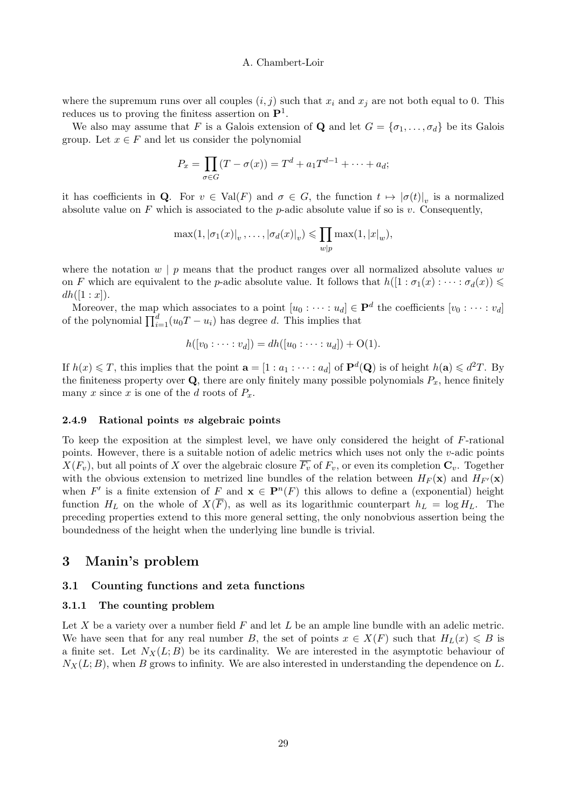where the supremum runs over all couples  $(i, j)$  such that  $x_i$  and  $x_j$  are not both equal to 0. This reduces us to proving the finitess assertion on  $\mathbf{P}^1$ .

We also may assume that F is a Galois extension of **Q** and let  $G = \{\sigma_1, \ldots, \sigma_d\}$  be its Galois group. Let  $x \in F$  and let us consider the polynomial

$$
P_x = \prod_{\sigma \in G} (T - \sigma(x)) = T^d + a_1 T^{d-1} + \dots + a_d;
$$

it has coefficients in **Q**. For  $v \in Val(F)$  and  $\sigma \in G$ , the function  $t \mapsto |\sigma(t)|_v$  is a normalized absolute value on  $F$  which is associated to the *p*-adic absolute value if so is v. Consequently,

$$
\max(1, |\sigma_1(x)|_v, \ldots, |\sigma_d(x)|_v) \leq \prod_{w|p} \max(1, |x|_w),
$$

where the notation  $w \mid p$  means that the product ranges over all normalized absolute values w on F which are equivalent to the p-adic absolute value. It follows that  $h([1 : \sigma_1(x) : \cdots : \sigma_d(x)) \leq$  $dh([1:x]).$ 

Moreover, the map which associates to a point  $[u_0: \cdots : u_d] \in \mathbf{P}^d$  the coefficients  $[v_0: \cdots : v_d]$ of the polynomial  $\prod_{i=1}^{d} (u_0 T - u_i)$  has degree d. This implies that

$$
h([v_0: \dots : v_d]) = dh([u_0: \dots : u_d]) + O(1).
$$

If  $h(x) \leq T$ , this implies that the point  $\mathbf{a} = [1 : a_1 : \cdots : a_d]$  of  $\mathbf{P}^d(\mathbf{Q})$  is of height  $h(\mathbf{a}) \leq d^2T$ . By the finiteness property over  $\mathbf Q$ , there are only finitely many possible polynomials  $P_x$ , hence finitely many x since x is one of the d roots of  $P_x$ .

#### 2.4.9 Rational points vs algebraic points

To keep the exposition at the simplest level, we have only considered the height of F-rational points. However, there is a suitable notion of adelic metrics which uses not only the v-adic points  $X(F_v)$ , but all points of X over the algebraic closure  $\overline{F_v}$  of  $F_v$ , or even its completion  $C_v$ . Together with the obvious extension to metrized line bundles of the relation between  $H_F(\mathbf{x})$  and  $H_{F'}(\mathbf{x})$ when F' is a finite extension of F and  $\mathbf{x} \in \mathbf{P}^n(F)$  this allows to define a (exponential) height function  $H_L$  on the whole of  $X(\overline{F})$ , as well as its logarithmic counterpart  $h_L = \log H_L$ . The preceding properties extend to this more general setting, the only nonobvious assertion being the boundedness of the height when the underlying line bundle is trivial.

# 3 Manin's problem

#### 3.1 Counting functions and zeta functions

# 3.1.1 The counting problem

Let X be a variety over a number field  $F$  and let  $L$  be an ample line bundle with an adelic metric. We have seen that for any real number B, the set of points  $x \in X(F)$  such that  $H_L(x) \leq B$  is a finite set. Let  $N_X(L; B)$  be its cardinality. We are interested in the asymptotic behaviour of  $N_X(L; B)$ , when B grows to infinity. We are also interested in understanding the dependence on L.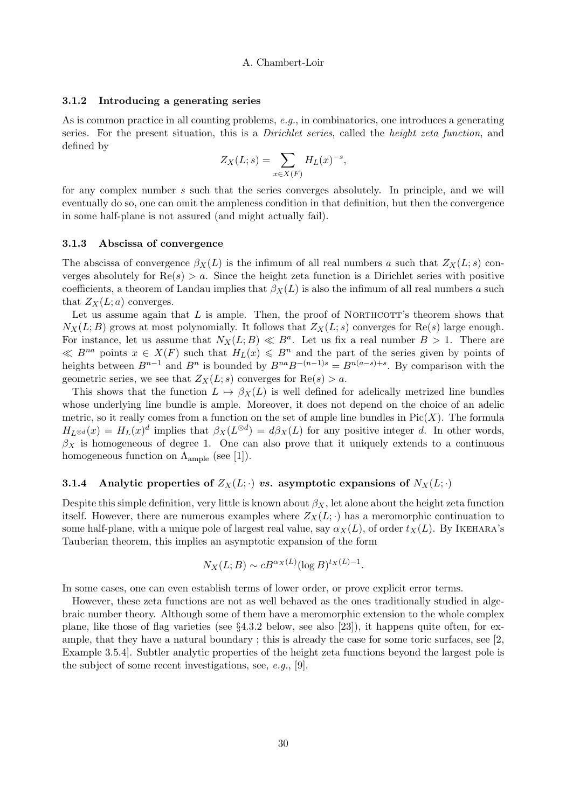#### 3.1.2 Introducing a generating series

As is common practice in all counting problems,  $e.g.,$  in combinatorics, one introduces a generating series. For the present situation, this is a *Dirichlet series*, called the *height zeta function*, and defined by

$$
Z_X(L;s) = \sum_{x \in X(F)} H_L(x)^{-s},
$$

for any complex number s such that the series converges absolutely. In principle, and we will eventually do so, one can omit the ampleness condition in that definition, but then the convergence in some half-plane is not assured (and might actually fail).

#### 3.1.3 Abscissa of convergence

The abscissa of convergence  $\beta_X(L)$  is the infimum of all real numbers a such that  $Z_X(L; s)$  converges absolutely for  $\text{Re}(s) > a$ . Since the height zeta function is a Dirichlet series with positive coefficients, a theorem of Landau implies that  $\beta_X(L)$  is also the infimum of all real numbers a such that  $Z_X(L; a)$  converges.

Let us assume again that  $L$  is ample. Then, the proof of NORTHCOTT's theorem shows that  $N_X(L; B)$  grows at most polynomially. It follows that  $Z_X(L; s)$  converges for Re(s) large enough. For instance, let us assume that  $N_X(L; B) \ll B^a$ . Let us fix a real number  $B > 1$ . There are  $\ll B^{na}$  points  $x \in X(F)$  such that  $H_L(x) \leqslant B^n$  and the part of the series given by points of heights between  $B^{n-1}$  and  $B^n$  is bounded by  $B^{na}B^{-(n-1)s} = B^{n(a-s)+s}$ . By comparison with the geometric series, we see that  $Z_X(L; s)$  converges for  $\text{Re}(s) > a$ .

This shows that the function  $L \mapsto \beta_X(L)$  is well defined for adelically metrized line bundles whose underlying line bundle is ample. Moreover, it does not depend on the choice of an adelic metric, so it really comes from a function on the set of ample line bundles in  $Pic(X)$ . The formula  $H_{L^{\otimes d}}(x) = H_L(x)^d$  implies that  $\beta_X(L^{\otimes d}) = d\beta_X(L)$  for any positive integer d. In other words,  $\beta_X$  is homogeneous of degree 1. One can also prove that it uniquely extends to a continuous homogeneous function on  $\Lambda_{\rm ample}$  (see [1]).

# 3.1.4 Analytic properties of  $Z_X(L; \cdot)$  vs. asymptotic expansions of  $N_X(L; \cdot)$

Despite this simple definition, very little is known about  $\beta_X$ , let alone about the height zeta function itself. However, there are numerous examples where  $Z_X(L; \cdot)$  has a meromorphic continuation to some half-plane, with a unique pole of largest real value, say  $\alpha_X(L)$ , of order  $t_X(L)$ . By IKEHARA's Tauberian theorem, this implies an asymptotic expansion of the form

$$
N_X(L;B) \sim cB^{\alpha_X(L)}(\log B)^{t_X(L)-1}.
$$

In some cases, one can even establish terms of lower order, or prove explicit error terms.

However, these zeta functions are not as well behaved as the ones traditionally studied in algebraic number theory. Although some of them have a meromorphic extension to the whole complex plane, like those of flag varieties (see §4.3.2 below, see also [23]), it happens quite often, for example, that they have a natural boundary ; this is already the case for some toric surfaces, see [2, Example 3.5.4]. Subtler analytic properties of the height zeta functions beyond the largest pole is the subject of some recent investigations, see, e.g., [9].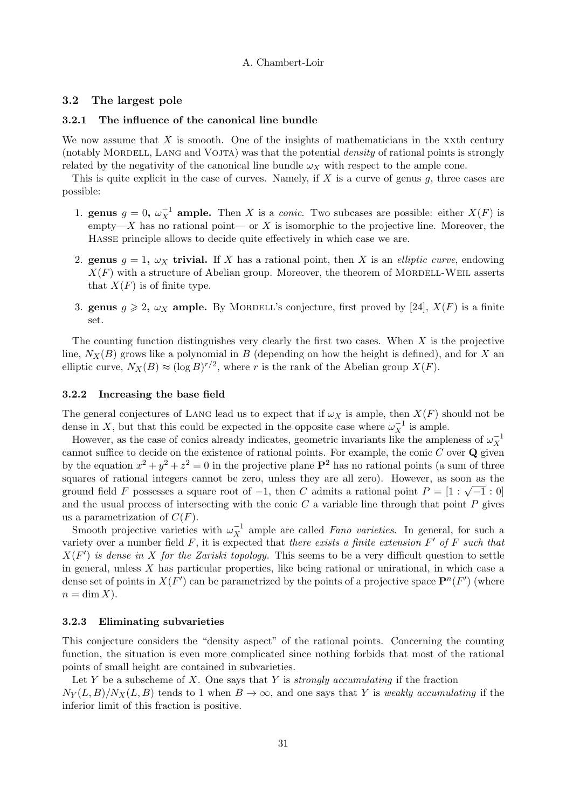#### 3.2 The largest pole

## 3.2.1 The influence of the canonical line bundle

We now assume that  $X$  is smooth. One of the insights of mathematicians in the  $X$ xth century (notably MORDELL, LANG and VOJTA) was that the potential *density* of rational points is strongly related by the negativity of the canonical line bundle  $\omega_X$  with respect to the ample cone.

This is quite explicit in the case of curves. Namely, if  $X$  is a curve of genus  $g$ , three cases are possible:

- 1. **genus**  $g = 0$ ,  $\omega_X^{-1}$  **ample.** Then X is a *conic*. Two subcases are possible: either  $X(F)$  is empty—X has no rational point— or  $X$  is isomorphic to the projective line. Moreover, the Hasse principle allows to decide quite effectively in which case we are.
- 2. genus  $g = 1$ ,  $\omega_X$  trivial. If X has a rational point, then X is an *elliptic curve*, endowing  $X(F)$  with a structure of Abelian group. Moreover, the theorem of MORDELL-WEIL asserts that  $X(F)$  is of finite type.
- 3. genus  $g \geq 2$ ,  $\omega_X$  ample. By MORDELL's conjecture, first proved by [24],  $X(F)$  is a finite set.

The counting function distinguishes very clearly the first two cases. When  $X$  is the projective line,  $N_X(B)$  grows like a polynomial in B (depending on how the height is defined), and for X and elliptic curve,  $N_X(B) \approx (\log B)^{r/2}$ , where r is the rank of the Abelian group  $X(F)$ .

#### 3.2.2 Increasing the base field

The general conjectures of LANG lead us to expect that if  $\omega_X$  is ample, then  $X(F)$  should not be dense in X, but that this could be expected in the opposite case where  $\omega_X^{-1}$  is ample.

However, as the case of conics already indicates, geometric invariants like the ampleness of  $\omega_X^{-1}$ cannot suffice to decide on the existence of rational points. For example, the conic  $C$  over  $\bf{Q}$  given by the equation  $x^2 + y^2 + z^2 = 0$  in the projective plane  $\mathbf{P}^2$  has no rational points (a sum of three squares of rational integers cannot be zero, unless they are all zero). However, as soon as the ground field F possesses a square root of  $-1$ , then C admits a rational point  $P = [1 : \sqrt{-1} : 0]$ and the usual process of intersecting with the conic  $C$  a variable line through that point  $P$  gives us a parametrization of  $C(F)$ .

Smooth projective varieties with  $\omega_X^{-1}$  ample are called *Fano varieties*. In general, for such a variety over a number field F, it is expected that there exists a finite extension  $F'$  of F such that  $X(F')$  is dense in X for the Zariski topology. This seems to be a very difficult question to settle in general, unless X has particular properties, like being rational or unirational, in which case a dense set of points in  $X(F')$  can be parametrized by the points of a projective space  $\mathbf{P}^n(F')$  (where  $n = \dim X$ ).

# 3.2.3 Eliminating subvarieties

This conjecture considers the "density aspect" of the rational points. Concerning the counting function, the situation is even more complicated since nothing forbids that most of the rational points of small height are contained in subvarieties.

Let Y be a subscheme of X. One says that Y is *strongly accumulating* if the fraction  $N_Y(L, B)/N_X(L, B)$  tends to 1 when  $B \to \infty$ , and one says that Y is weakly accumulating if the inferior limit of this fraction is positive.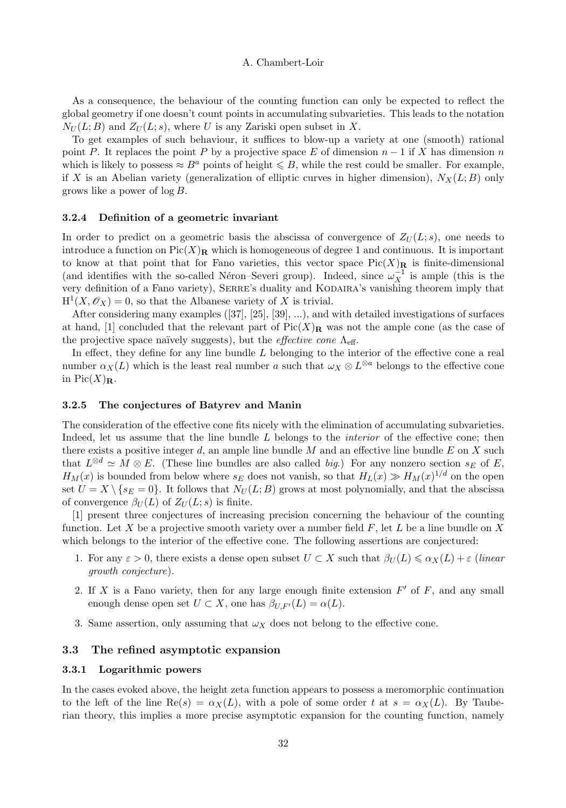As a consequence, the behaviour of the counting function can only be expected to reflect the global geometry if one doesn't count points in accumulating subvarieties. This leads to the notation  $N_U(L; B)$  and  $Z_U(L; s)$ , where U is any Zariski open subset in X.

To get examples of such behaviour, it suffices to blow-up a variety at one (smooth) rational point P. It replaces the point P by a projective space E of dimension  $n-1$  if X has dimension n which is likely to possess  $\approx B^a$  points of height  $\leq B$ , while the rest could be smaller. For example, if X is an Abelian variety (generalization of elliptic curves in higher dimension),  $N_X(L; B)$  only grows like a power of  $\log B$ .

### 3.2.4 Definition of a geometric invariant

In order to predict on a geometric basis the abscissa of convergence of  $Z_U(L; s)$ , one needs to introduce a function on  $Pic(X)_\mathbf{R}$  which is homogeneous of degree 1 and continuous. It is important to know at that point that for Fano varieties, this vector space  $Pic(X)_{\mathbf{R}}$  is finite-dimensional (and identifies with the so-called Néron–Severi group). Indeed, since  $\omega_X^{-1}$  is ample (this is the very definition of a Fano variety), SERRE's duality and KODAIRA's vanishing theorem imply that  $H^1(X,\mathscr{O}_X)=0$ , so that the Albanese variety of X is trivial.

After considering many examples ([37], [25], [39], ...), and with detailed investigations of surfaces at hand, [1] concluded that the relevant part of  $Pic(X)**R**$  was not the ample cone (as the case of the projective space naïvely suggests), but the *effective cone*  $\Lambda_{\text{eff}}$ .

In effect, they define for any line bundle  $L$  belonging to the interior of the effective cone a real number  $\alpha_X(L)$  which is the least real number a such that  $\omega_X \otimes L^{\otimes a}$  belongs to the effective cone in  $Pic(X)<sub>R</sub>$ .

#### 3.2.5 The conjectures of Batyrev and Manin

The consideration of the effective cone fits nicely with the elimination of accumulating subvarieties. Indeed, let us assume that the line bundle L belongs to the *interior* of the effective cone; then there exists a positive integer d, an ample line bundle  $M$  and an effective line bundle  $E$  on  $X$  such that  $L^{\otimes d} \simeq M \otimes E$ . (These line bundles are also called *big.*) For any nonzero section  $s_E$  of E,  $H_M(x)$  is bounded from below where  $s_E$  does not vanish, so that  $H_L(x) \gg H_M(x)^{1/d}$  on the open set  $U = X \setminus \{s_E = 0\}$ . It follows that  $N_U(L; B)$  grows at most polynomially, and that the abscissa of convergence  $\beta_U(L)$  of  $Z_U(L; s)$  is finite.

[1] present three conjectures of increasing precision concerning the behaviour of the counting function. Let X be a projective smooth variety over a number field  $F$ , let L be a line bundle on X which belongs to the interior of the effective cone. The following assertions are conjectured:

- 1. For any  $\varepsilon > 0$ , there exists a dense open subset  $U \subset X$  such that  $\beta_U(L) \leq \alpha_X(L) + \varepsilon$  (linear growth conjecture).
- 2. If X is a Fano variety, then for any large enough finite extension  $F'$  of  $F$ , and any small enough dense open set  $U \subset X$ , one has  $\beta_{U,F'}(L) = \alpha(L)$ .
- 3. Same assertion, only assuming that  $\omega_X$  does not belong to the effective cone.

# 3.3 The refined asymptotic expansion

#### 3.3.1 Logarithmic powers

In the cases evoked above, the height zeta function appears to possess a meromorphic continuation to the left of the line  $\text{Re}(s) = \alpha_X(L)$ , with a pole of some order t at  $s = \alpha_X(L)$ . By Tauberian theory, this implies a more precise asymptotic expansion for the counting function, namely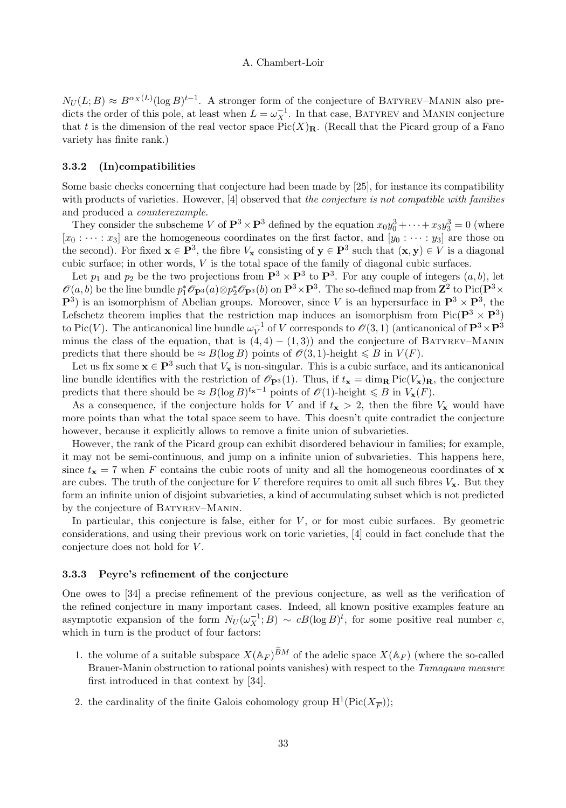$N_U(L;B) \approx B^{\alpha_X(L)}(\log B)^{t-1}$ . A stronger form of the conjecture of BATYREV–MANIN also predicts the order of this pole, at least when  $L = \omega_X^{-1}$ . In that case, BATYREV and MANIN conjecture that t is the dimension of the real vector space  $Pic(X)<sub>R</sub>$ . (Recall that the Picard group of a Fano variety has finite rank.)

# 3.3.2 (In)compatibilities

Some basic checks concerning that conjecture had been made by [25], for instance its compatibility with products of varieties. However, [4] observed that the conjecture is not compatible with families and produced a counterexample.

They consider the subscheme V of  $\mathbf{P}^3 \times \mathbf{P}^3$  defined by the equation  $x_0y_0^3 + \cdots + x_3y_3^3 = 0$  (where  $[x_0 : \cdots : x_3]$  are the homogeneous coordinates on the first factor, and  $[y_0 : \cdots : y_3]$  are those on the second). For fixed  $\mathbf{x} \in \mathbf{P}^3$ , the fibre  $V_{\mathbf{x}}$  consisting of  $\mathbf{y} \in \mathbf{P}^3$  such that  $(\mathbf{x}, \mathbf{y}) \in V$  is a diagonal cubic surface; in other words,  $V$  is the total space of the family of diagonal cubic surfaces.

Let  $p_1$  and  $p_2$  be the two projections from  $\mathbf{P}^3 \times \mathbf{P}^3$  to  $\mathbf{P}^3$ . For any couple of integers  $(a, b)$ , let  $\mathscr{O}(a, b)$  be the line bundle  $p_1^* \mathscr{O}_{\mathbf{P}^3}(a) \otimes p_2^* \mathscr{O}_{\mathbf{P}^3}(b)$  on  $\mathbf{P}^3 \times \mathbf{P}^3$ . The so-defined map from  $\mathbf{Z}^2$  to Pic $(\mathbf{P}^3 \times \mathbf{P}^3)$  $\mathbf{P}^3$ ) is an isomorphism of Abelian groups. Moreover, since V is an hypersurface in  $\mathbf{P}^3 \times \mathbf{P}^3$ , the Lefschetz theorem implies that the restriction map induces an isomorphism from Pic( $\mathbf{P}^3 \times \mathbf{P}^3$ ) to Pic(V). The anticanonical line bundle  $\omega_V^{-1}$  of V corresponds to  $\mathcal{O}(3,1)$  (anticanonical of  $\mathbf{P}^3 \times \mathbf{P}^3$ minus the class of the equation, that is  $(4, 4) - (1, 3)$  and the conjecture of BATYREV–MANIN predicts that there should be  $\approx B(\log B)$  points of  $\mathcal{O}(3, 1)$ -height  $\leq B$  in  $V(F)$ .

Let us fix some  $x \in P^3$  such that  $V_x$  is non-singular. This is a cubic surface, and its anticanonical line bundle identifies with the restriction of  $\mathscr{O}_{\mathbf{P}^3}(1)$ . Thus, if  $t_{\mathbf{x}} = \dim_{\mathbf{R}} Pic(V_{\mathbf{x}})_{\mathbf{R}}$ , the conjecture predicts that there should be  $\approx B(\log B)^{t_{\mathbf{x}}-1}$  points of  $\mathscr{O}(1)$ -height  $\leq B$  in  $V_{\mathbf{x}}(F)$ .

As a consequence, if the conjecture holds for V and if  $t_x > 2$ , then the fibre  $V_x$  would have more points than what the total space seem to have. This doesn't quite contradict the conjecture however, because it explicitly allows to remove a finite union of subvarieties.

However, the rank of the Picard group can exhibit disordered behaviour in families; for example, it may not be semi-continuous, and jump on a infinite union of subvarieties. This happens here, since  $t_{\mathbf{x}} = 7$  when F contains the cubic roots of unity and all the homogeneous coordinates of x are cubes. The truth of the conjecture for V therefore requires to omit all such fibres  $V_x$ . But they form an infinite union of disjoint subvarieties, a kind of accumulating subset which is not predicted by the conjecture of BATYREV–MANIN.

In particular, this conjecture is false, either for  $V$ , or for most cubic surfaces. By geometric considerations, and using their previous work on toric varieties, [4] could in fact conclude that the conjecture does not hold for  $V$ .

#### 3.3.3 Peyre's refinement of the conjecture

One owes to [34] a precise refinement of the previous conjecture, as well as the verification of the refined conjecture in many important cases. Indeed, all known positive examples feature an asymptotic expansion of the form  $N_U(\omega_X^{-1};B) \sim cB(\log B)^t$ , for some positive real number c, which in turn is the product of four factors:

- 1. the volume of a suitable subspace  $X(\mathbb{A}_F)^{BM}$  of the adelic space  $X(\mathbb{A}_F)$  (where the so-called Brauer-Manin obstruction to rational points vanishes) with respect to the *Tamagawa measure* first introduced in that context by [34].
- 2. the cardinality of the finite Galois cohomology group  $\mathrm{H}^1(\mathrm{Pic}(X_{\overline{F}}));$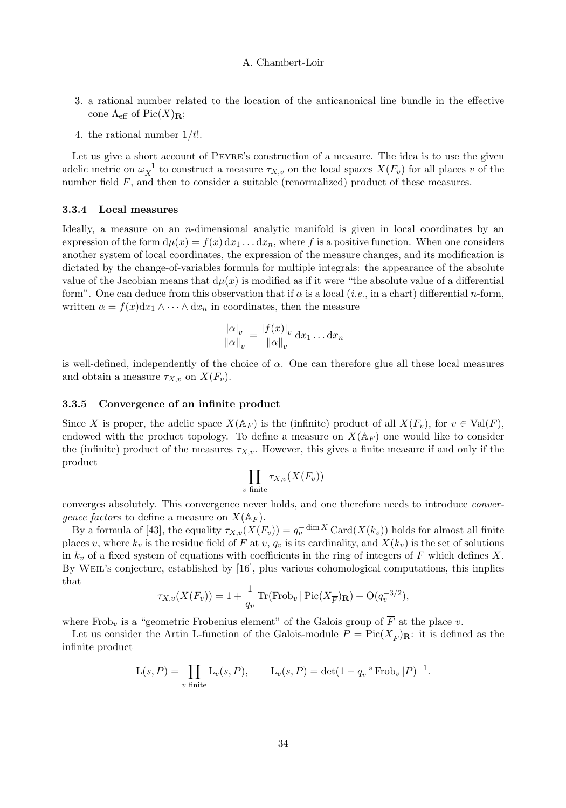- 3. a rational number related to the location of the anticanonical line bundle in the effective cone  $\Lambda_{\text{eff}}$  of Pic $(X)_{\mathbf{R}}$ ;
- 4. the rational number  $1/t!$ .

Let us give a short account of Peyre's construction of a measure. The idea is to use the given adelic metric on  $\omega_X^{-1}$  to construct a measure  $\tau_{X,v}$  on the local spaces  $X(F_v)$  for all places v of the number field  $F$ , and then to consider a suitable (renormalized) product of these measures.

#### 3.3.4 Local measures

Ideally, a measure on an  $n$ -dimensional analytic manifold is given in local coordinates by an expression of the form  $d\mu(x) = f(x) dx_1 \dots dx_n$ , where f is a positive function. When one considers another system of local coordinates, the expression of the measure changes, and its modification is dictated by the change-of-variables formula for multiple integrals: the appearance of the absolute value of the Jacobian means that  $d\mu(x)$  is modified as if it were "the absolute value of a differential form". One can deduce from this observation that if  $\alpha$  is a local (*i.e.*, in a chart) differential *n*-form, written  $\alpha = f(x)dx_1 \wedge \cdots \wedge dx_n$  in coordinates, then the measure

$$
\frac{|\alpha|_v}{\|\alpha\|_v} = \frac{|f(x)|_v}{\|\alpha\|_v} \, \mathrm{d}x_1 \dots \mathrm{d}x_n
$$

is well-defined, independently of the choice of  $\alpha$ . One can therefore glue all these local measures and obtain a measure  $\tau_{X,v}$  on  $X(F_v)$ .

#### 3.3.5 Convergence of an infinite product

Since X is proper, the adelic space  $X(\mathbb{A}_F)$  is the (infinite) product of all  $X(F_v)$ , for  $v \in \text{Val}(F)$ , endowed with the product topology. To define a measure on  $X(\mathbb{A}_F)$  one would like to consider the (infinite) product of the measures  $\tau_{X,v}$ . However, this gives a finite measure if and only if the product

$$
\prod_{v \text{ finite}} \tau_{X,v}(X(F_v))
$$

converges absolutely. This convergence never holds, and one therefore needs to introduce convergence factors to define a measure on  $X(\mathbb{A}_F)$ .

By a formula of [43], the equality  $\tau_{X,v}(X(F_v)) = q_v^{-\dim X} \text{Card}(X(k_v))$  holds for almost all finite places v, where  $k_v$  is the residue field of F at v,  $q_v$  is its cardinality, and  $X(k_v)$  is the set of solutions in  $k_v$  of a fixed system of equations with coefficients in the ring of integers of F which defines X. By WEIL's conjecture, established by [16], plus various cohomological computations, this implies that

$$
\tau_{X,v}(X(F_v)) = 1 + \frac{1}{q_v} \operatorname{Tr}(\operatorname{Frob}_v |\operatorname{Pic}(X_{\overline{F}})_{\mathbf{R}}) + \mathcal{O}(q_v^{-3/2}),
$$

where Frob<sub>v</sub> is a "geometric Frobenius element" of the Galois group of  $\overline{F}$  at the place v.

Let us consider the Artin L-function of the Galois-module  $P = Pic(X_{\overline{F}})_{\mathbf{R}}$ : it is defined as the infinite product

$$
L(s, P) = \prod_{v \text{ finite}} L_v(s, P), \qquad L_v(s, P) = \det(1 - q_v^{-s} \text{Frob}_v | P)^{-1}.
$$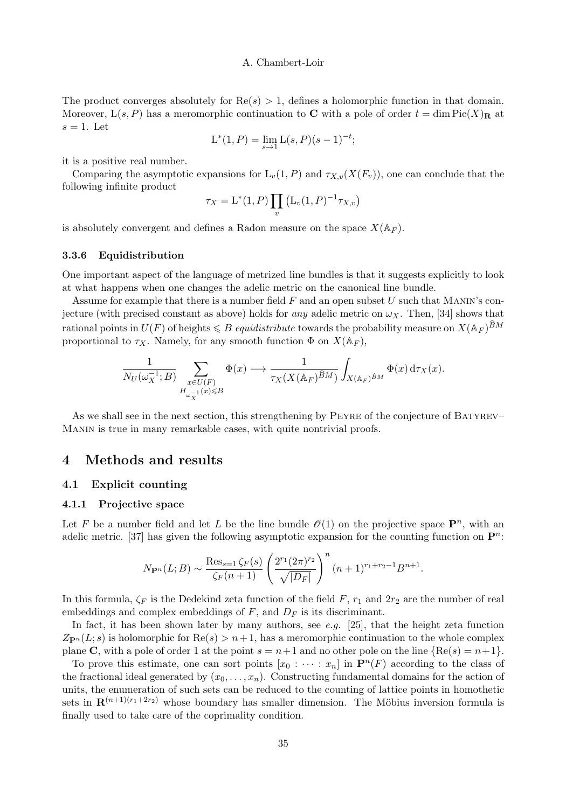The product converges absolutely for  $\text{Re}(s) > 1$ , defines a holomorphic function in that domain. Moreover,  $L(s, P)$  has a meromorphic continuation to **C** with a pole of order  $t = \dim Pic(X)_{\mathbf{R}}$  at  $s = 1$ . Let

$$
L^*(1, P) = \lim_{s \to 1} L(s, P)(s - 1)^{-t};
$$

it is a positive real number.

Comparing the asymptotic expansions for  $L_v(1, P)$  and  $\tau_{X,v}(X(F_v))$ , one can conclude that the following infinite product

$$
\tau_X = \mathcal{L}^*(1, P) \prod_v (\mathcal{L}_v(1, P)^{-1} \tau_{X, v})
$$

is absolutely convergent and defines a Radon measure on the space  $X(\mathbb{A}_F)$ .

# 3.3.6 Equidistribution

One important aspect of the language of metrized line bundles is that it suggests explicitly to look at what happens when one changes the adelic metric on the canonical line bundle.

Assume for example that there is a number field  $F$  and an open subset U such that MANIN's conjecture (with precised constant as above) holds for any adelic metric on  $\omega_X$ . Then, [34] shows that rational points in  $U(F)$  of heights  $\leqslant B$  *equidistribute* towards the probability measure on  $X(\mathbb{A}_F)^{BM}$ proportional to  $\tau_X$ . Namely, for any smooth function  $\Phi$  on  $X(\mathbb{A}_F)$ ,

$$
\frac{1}{N_U(\omega_X^{-1};B)}\sum_{\substack{x\in U(F)\\H_{\omega_X^{-1}}(x)\leq B}}\Phi(x)\longrightarrow \frac{1}{\tau_X(X(\mathbb{A}_F)^{\widehat{B}M})}\int_{X(\mathbb{A}_F)^{\widehat{B}M}}\Phi(x)\,\mathrm{d}\tau_X(x).
$$

As we shall see in the next section, this strengthening by PEYRE of the conjecture of BATYREV– Manin is true in many remarkable cases, with quite nontrivial proofs.

# 4 Methods and results

#### 4.1 Explicit counting

## 4.1.1 Projective space

Let F be a number field and let L be the line bundle  $\mathcal{O}(1)$  on the projective space  $\mathbf{P}^n$ , with an adelic metric. [37] has given the following asymptotic expansion for the counting function on  $\mathbf{P}^n$ :

$$
N_{\mathbf{P}^n}(L;B) \sim \frac{\text{Res}_{s=1} \zeta_F(s)}{\zeta_F(n+1)} \left(\frac{2^{r_1} (2\pi)^{r_2}}{\sqrt{|D_F|}}\right)^n (n+1)^{r_1+r_2-1} B^{n+1}.
$$

In this formula,  $\zeta_F$  is the Dedekind zeta function of the field F,  $r_1$  and  $2r_2$  are the number of real embeddings and complex embeddings of  $F$ , and  $D_F$  is its discriminant.

In fact, it has been shown later by many authors, see e.g. [25], that the height zeta function  $Z_{\mathbf{P}^{n}}(L; s)$  is holomorphic for  $\text{Re}(s) > n+1$ , has a meromorphic continuation to the whole complex plane C, with a pole of order 1 at the point  $s = n+1$  and no other pole on the line  $\{Re(s) = n+1\}$ .

To prove this estimate, one can sort points  $[x_0 : \cdots : x_n]$  in  $\mathbf{P}^n(F)$  according to the class of the fractional ideal generated by  $(x_0, \ldots, x_n)$ . Constructing fundamental domains for the action of units, the enumeration of such sets can be reduced to the counting of lattice points in homothetic sets in  $\mathbf{R}^{(n+1)(r_1+2r_2)}$  whose boundary has smaller dimension. The Möbius inversion formula is finally used to take care of the coprimality condition.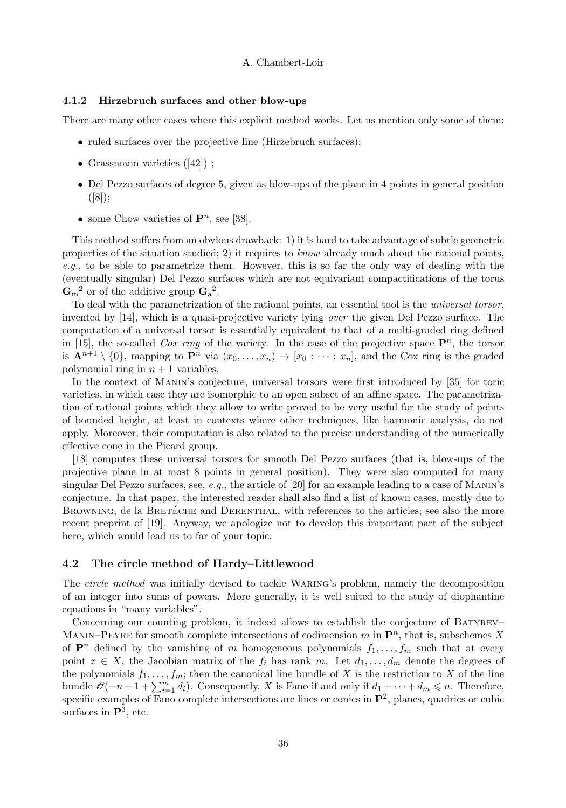#### 4.1.2 Hirzebruch surfaces and other blow-ups

There are many other cases where this explicit method works. Let us mention only some of them:

- ruled surfaces over the projective line (Hirzebruch surfaces);
- Grassmann varieties  $([42])$ ;
- Del Pezzo surfaces of degree 5, given as blow-ups of the plane in 4 points in general position  $([8])$ ;
- some Chow varieties of  $\mathbf{P}^n$ , see [38].

This method suffers from an obvious drawback: 1) it is hard to take advantage of subtle geometric properties of the situation studied; 2) it requires to know already much about the rational points, e.g., to be able to parametrize them. However, this is so far the only way of dealing with the (eventually singular) Del Pezzo surfaces which are not equivariant compactifications of the torus  $\mathbf{G}_{\text{m}}^2$  or of the additive group  $\mathbf{G}_{\text{a}}^2$ .

To deal with the parametrization of the rational points, an essential tool is the universal torsor, invented by [14], which is a quasi-projective variety lying over the given Del Pezzo surface. The computation of a universal torsor is essentially equivalent to that of a multi-graded ring defined in [15], the so-called *Cox ring* of the variety. In the case of the projective space  $\mathbf{P}^n$ , the torsor is  $\mathbf{A}^{n+1} \setminus \{0\}$ , mapping to  $\mathbf{P}^n$  via  $(x_0, \ldots, x_n) \mapsto [x_0 : \cdots : x_n]$ , and the Cox ring is the graded polynomial ring in  $n + 1$  variables.

In the context of Manin's conjecture, universal torsors were first introduced by [35] for toric varieties, in which case they are isomorphic to an open subset of an affine space. The parametrization of rational points which they allow to write proved to be very useful for the study of points of bounded height, at least in contexts where other techniques, like harmonic analysis, do not apply. Moreover, their computation is also related to the precise understanding of the numerically effective cone in the Picard group.

[18] computes these universal torsors for smooth Del Pezzo surfaces (that is, blow-ups of the projective plane in at most 8 points in general position). They were also computed for many singular Del Pezzo surfaces, see,  $e.q.$ , the article of [20] for an example leading to a case of MANIN's conjecture. In that paper, the interested reader shall also find a list of known cases, mostly due to BROWNING, de la BRETÉCHE and DERENTHAL, with references to the articles; see also the more recent preprint of [19]. Anyway, we apologize not to develop this important part of the subject here, which would lead us to far of your topic.

# 4.2 The circle method of Hardy–Littlewood

The *circle method* was initially devised to tackle WARING's problem, namely the decomposition of an integer into sums of powers. More generally, it is well suited to the study of diophantine equations in "many variables".

Concerning our counting problem, it indeed allows to establish the conjecture of BATYREV– MANIN–PEYRE for smooth complete intersections of codimension  $m$  in  $\mathbf{P}^n$ , that is, subschemes X of  $\mathbf{P}^n$  defined by the vanishing of m homogeneous polynomials  $f_1, \ldots, f_m$  such that at every point  $x \in X$ , the Jacobian matrix of the  $f_i$  has rank m. Let  $d_1, \ldots, d_m$  denote the degrees of the polynomials  $f_1, \ldots, f_m$ ; then the canonical line bundle of X is the restriction to X of the line bundle  $\mathscr{O}(-n-1+\sum_{i=1}^m d_i)$ . Consequently, X is Fano if and only if  $d_1+\cdots+d_m\leqslant n$ . Therefore, specific examples of Fano complete intersections are lines or conics in  $\mathbf{P}^2$ , planes, quadrics or cubic surfaces in  $\mathbf{P}^3$ , etc.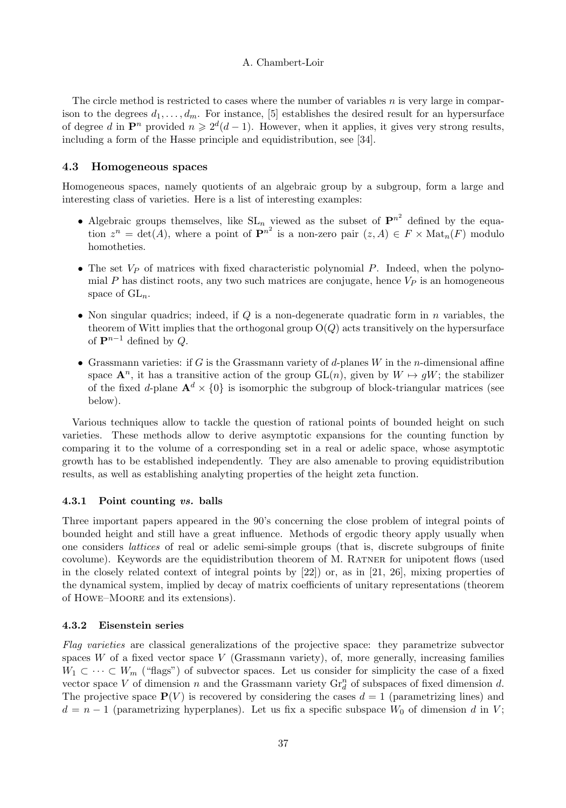The circle method is restricted to cases where the number of variables  $n$  is very large in comparison to the degrees  $d_1, \ldots, d_m$ . For instance, [5] establishes the desired result for an hypersurface of degree d in  $\mathbf{P}^n$  provided  $n \geq 2^d(d-1)$ . However, when it applies, it gives very strong results, including a form of the Hasse principle and equidistribution, see [34].

# 4.3 Homogeneous spaces

Homogeneous spaces, namely quotients of an algebraic group by a subgroup, form a large and interesting class of varieties. Here is a list of interesting examples:

- Algebraic groups themselves, like  $SL_n$  viewed as the subset of  $\mathbf{P}^{n^2}$  defined by the equation  $z^n = \det(A)$ , where a point of  $\mathbf{P}^{n^2}$  is a non-zero pair  $(z, A) \in F \times \mathrm{Mat}_n(F)$  modulo homotheties.
- The set  $V_P$  of matrices with fixed characteristic polynomial P. Indeed, when the polynomial P has distinct roots, any two such matrices are conjugate, hence  $V_P$  is an homogeneous space of  $GL_n$ .
- Non singular quadrics; indeed, if  $Q$  is a non-degenerate quadratic form in  $n$  variables, the theorem of Witt implies that the orthogonal group  $O(Q)$  acts transitively on the hypersurface of  $\mathbf{P}^{n-1}$  defined by Q.
- Grassmann varieties: if G is the Grassmann variety of d-planes  $W$  in the n-dimensional affine space  $\mathbf{A}^n$ , it has a transitive action of the group  $\mathrm{GL}(n)$ , given by  $W \mapsto gW$ ; the stabilizer of the fixed d-plane  $\mathbf{A}^d \times \{0\}$  is isomorphic the subgroup of block-triangular matrices (see below).

Various techniques allow to tackle the question of rational points of bounded height on such varieties. These methods allow to derive asymptotic expansions for the counting function by comparing it to the volume of a corresponding set in a real or adelic space, whose asymptotic growth has to be established independently. They are also amenable to proving equidistribution results, as well as establishing analyting properties of the height zeta function.

#### 4.3.1 Point counting vs. balls

Three important papers appeared in the 90's concerning the close problem of integral points of bounded height and still have a great influence. Methods of ergodic theory apply usually when one considers lattices of real or adelic semi-simple groups (that is, discrete subgroups of finite covolume). Keywords are the equidistribution theorem of M. Ratner for unipotent flows (used in the closely related context of integral points by [22]) or, as in [21, 26], mixing properties of the dynamical system, implied by decay of matrix coefficients of unitary representations (theorem of Howe–Moore and its extensions).

# 4.3.2 Eisenstein series

Flag varieties are classical generalizations of the projective space: they parametrize subvector spaces  $W$  of a fixed vector space  $V$  (Grassmann variety), of, more generally, increasing families  $W_1 \subset \cdots \subset W_m$  ("flags") of subvector spaces. Let us consider for simplicity the case of a fixed vector space V of dimension n and the Grassmann variety  $\mathrm{Gr}_d^n$  of subspaces of fixed dimension d. The projective space  $\mathbf{P}(V)$  is recovered by considering the cases  $d = 1$  (parametrizing lines) and  $d = n - 1$  (parametrizing hyperplanes). Let us fix a specific subspace  $W_0$  of dimension d in V;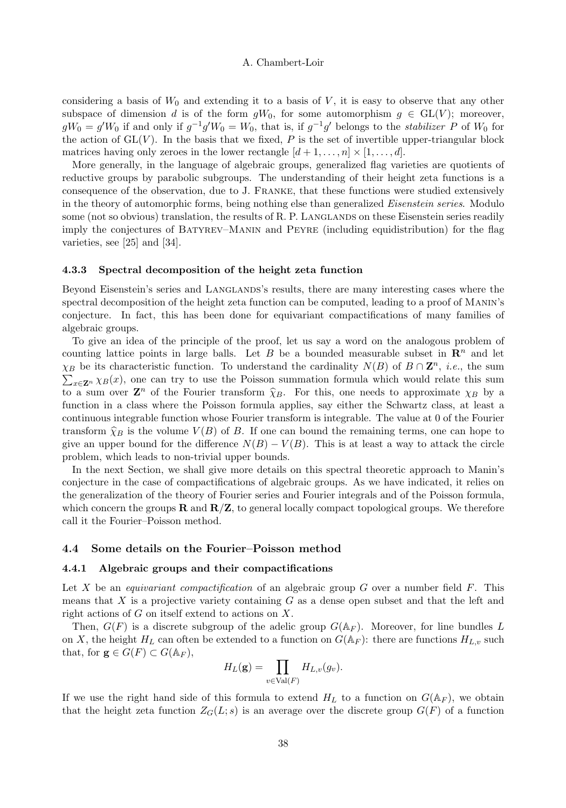considering a basis of  $W_0$  and extending it to a basis of  $V$ , it is easy to observe that any other subspace of dimension d is of the form  $gW_0$ , for some automorphism  $g \in GL(V)$ ; moreover,  $gW_0 = g'W_0$  if and only if  $g^{-1}g'W_0 = W_0$ , that is, if  $g^{-1}g'$  belongs to the *stabilizer* P of  $W_0$  for the action of  $GL(V)$ . In the basis that we fixed, P is the set of invertible upper-triangular block matrices having only zeroes in the lower rectangle  $[d+1,\ldots,n] \times [1,\ldots,d]$ .

More generally, in the language of algebraic groups, generalized flag varieties are quotients of reductive groups by parabolic subgroups. The understanding of their height zeta functions is a consequence of the observation, due to J. Franke, that these functions were studied extensively in the theory of automorphic forms, being nothing else than generalized Eisenstein series. Modulo some (not so obvious) translation, the results of R. P. LANGLANDS on these Eisenstein series readily imply the conjectures of Batyrev–Manin and Peyre (including equidistribution) for the flag varieties, see [25] and [34].

#### 4.3.3 Spectral decomposition of the height zeta function

Beyond Eisenstein's series and LANGLANDS's results, there are many interesting cases where the spectral decomposition of the height zeta function can be computed, leading to a proof of MANIN's conjecture. In fact, this has been done for equivariant compactifications of many families of algebraic groups.

To give an idea of the principle of the proof, let us say a word on the analogous problem of counting lattice points in large balls. Let B be a bounded measurable subset in  $\mathbb{R}^n$  and let  $\chi_B$  be its characteristic function. To understand the cardinality  $N(B)$  of  $B \cap \mathbb{Z}^n$ , *i.e.*, the sum  $\sum_{x \in \mathbb{Z}^n} \chi_B(x)$ , one can try to use the Poisson summation formula which would relate this sum  $\sum_{x\in\mathbf{Z}^n} \chi_B(x)$ , one can try to use the Poisson summation formula which would relate this sum to a sum over  $\mathbb{Z}^n$  of the Fourier transform  $\hat{\chi}_B$ . For this, one needs to approximate  $\chi_B$  by a function in a class where the Poisson formula applies, say either the Schwartz class, at least a continuous integrable function whose Fourier transform is integrable. The value at 0 of the Fourier transform  $\widehat{\chi}_B$  is the volume  $V(B)$  of B. If one can bound the remaining terms, one can hope to give an upper bound for the difference  $N(B) - V(B)$ . This is at least a way to attack the circle problem, which leads to non-trivial upper bounds.

In the next Section, we shall give more details on this spectral theoretic approach to Manin's conjecture in the case of compactifications of algebraic groups. As we have indicated, it relies on the generalization of the theory of Fourier series and Fourier integrals and of the Poisson formula, which concern the groups  $\bf{R}$  and  $\bf{R/Z}$ , to general locally compact topological groups. We therefore call it the Fourier–Poisson method.

#### 4.4 Some details on the Fourier–Poisson method

#### 4.4.1 Algebraic groups and their compactifications

Let X be an *equivariant compactification* of an algebraic group  $G$  over a number field  $F$ . This means that  $X$  is a projective variety containing  $G$  as a dense open subset and that the left and right actions of  $G$  on itself extend to actions on  $X$ .

Then,  $G(F)$  is a discrete subgroup of the adelic group  $G(\mathbb{A}_F)$ . Moreover, for line bundles L on X, the height  $H_L$  can often be extended to a function on  $G(\mathbb{A}_F)$ : there are functions  $H_{L,v}$  such that, for  $\mathbf{g} \in G(F) \subset G(\mathbb{A}_F)$ ,

$$
H_L({\bf g})=\prod_{v\in {\operatorname{Val} }(F)}H_{L,v}(g_v).
$$

If we use the right hand side of this formula to extend  $H_L$  to a function on  $G(\mathbb{A}_F)$ , we obtain that the height zeta function  $Z_G(L; s)$  is an average over the discrete group  $G(F)$  of a function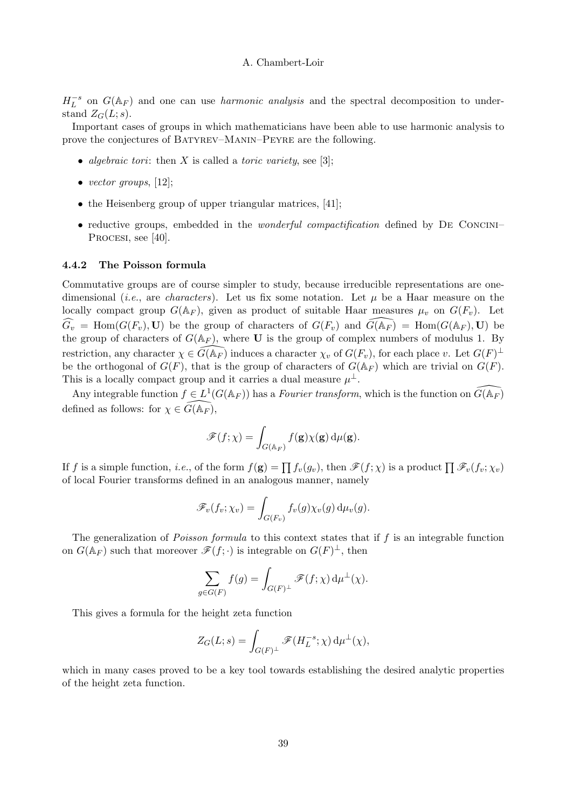$H_L^{-s}$  on  $G(\mathbb{A}_F)$  and one can use *harmonic analysis* and the spectral decomposition to understand  $Z_G(L; s)$ .

Important cases of groups in which mathematicians have been able to use harmonic analysis to prove the conjectures of Batyrev–Manin–Peyre are the following.

- algebraic tori: then X is called a toric variety, see [3];
- vector groups,  $[12]$ ;
- the Heisenberg group of upper triangular matrices, [41];
- reductive groups, embedded in the *wonderful compactification* defined by DE CONCINI– PROCESI, see [40].

# 4.4.2 The Poisson formula

Commutative groups are of course simpler to study, because irreducible representations are onedimensional (*i.e.*, are *characters*). Let us fix some notation. Let  $\mu$  be a Haar measure on the locally compact group  $G(\mathbb{A}_F)$ , given as product of suitable Haar measures  $\mu_v$  on  $G(F_v)$ . Let  $\widehat{G_v}$  = Hom( $G(F_v)$ , U) be the group of characters of  $G(F_v)$  and  $\widetilde{G}(\mathbb{A}_F)$  = Hom( $G(\mathbb{A}_F)$ , U) be the group of characters of  $G(\mathbb{A}_F)$ , where **U** is the group of complex numbers of modulus 1. By restriction, any character  $\chi \in \widehat{G}(\mathbb{A}_F)$  induces a character  $\chi_v$  of  $G(F_v)$ , for each place v. Let  $G(F)^{\perp}$ be the orthogonal of  $G(F)$ , that is the group of characters of  $G(\mathbb{A}_F)$  which are trivial on  $G(F)$ . This is a locally compact group and it carries a dual measure  $\mu^{\perp}$ .

Any integrable function  $f \in L^1(G(\mathbb{A}_F))$  has a *Fourier transform*, which is the function on  $\widetilde{G}(\mathbb{A}_F)$ defined as follows: for  $\chi \in \tilde{G}(\mathbb{A}_F)$ ,

$$
\mathscr{F}(f;\chi)=\int_{G(\mathbb{A}_F)}f(\mathbf{g})\chi(\mathbf{g})\,\mathrm{d}\mu(\mathbf{g}).
$$

If f is a simple function, *i.e.*, of the form  $f(g) = \prod f_v(g_v)$ , then  $\mathscr{F}(f; \chi)$  is a product  $\prod \mathscr{F}_v(f_v; \chi_v)$ of local Fourier transforms defined in an analogous manner, namely

$$
\mathscr{F}_v(f_v;\chi_v) = \int_{G(F_v)} f_v(g)\chi_v(g) d\mu_v(g).
$$

The generalization of *Poisson formula* to this context states that if  $f$  is an integrable function on  $G(\mathbb{A}_F)$  such that moreover  $\mathscr{F}(f; \cdot)$  is integrable on  $G(F)^{\perp}$ , then

$$
\sum_{g \in G(F)} f(g) = \int_{G(F)^{\perp}} \mathscr{F}(f; \chi) d\mu^{\perp}(\chi).
$$

This gives a formula for the height zeta function

$$
Z_G(L;s)=\int_{G(F)^\perp}\mathscr{F}(H_L^{-s};\chi)\,\mathrm{d}\mu^\perp(\chi),
$$

which in many cases proved to be a key tool towards establishing the desired analytic properties of the height zeta function.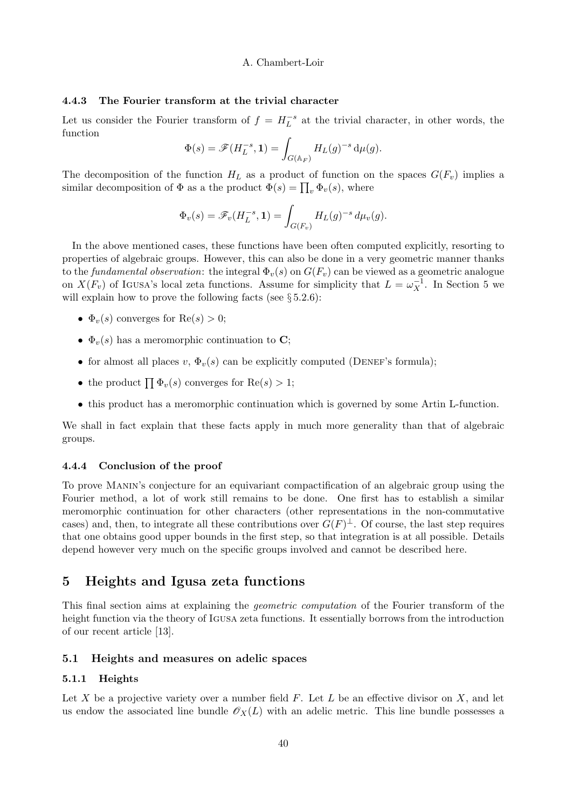# 4.4.3 The Fourier transform at the trivial character

Let us consider the Fourier transform of  $f = H_L^{-s}$  at the trivial character, in other words, the function

$$
\Phi(s) = \mathscr{F}(H_L^{-s}, \mathbf{1}) = \int_{G(\mathbb{A}_F)} H_L(g)^{-s} \, \mathrm{d}\mu(g).
$$

The decomposition of the function  $H_L$  as a product of function on the spaces  $G(F_v)$  implies a similar decomposition of  $\Phi$  as a the product  $\Phi(s) = \prod_v \Phi_v(s)$ , where

$$
\Phi_v(s) = \mathscr{F}_v(H_L^{-s}, \mathbf{1}) = \int_{G(F_v)} H_L(g)^{-s} d\mu_v(g).
$$

In the above mentioned cases, these functions have been often computed explicitly, resorting to properties of algebraic groups. However, this can also be done in a very geometric manner thanks to the *fundamental observation*: the integral  $\Phi_v(s)$  on  $G(F_v)$  can be viewed as a geometric analogue on  $X(F_v)$  of Igusa's local zeta functions. Assume for simplicity that  $L = \omega_X^{-1}$ . In Section 5 we will explain how to prove the following facts (see  $\S 5.2.6$ ):

- $\Phi_v(s)$  converges for  $\text{Re}(s) > 0$ ;
- $\Phi_{v}(s)$  has a meromorphic continuation to C;
- for almost all places v,  $\Phi_v(s)$  can be explicitly computed (DENEF's formula);
- the product  $\prod \Phi_v(s)$  converges for  $\text{Re}(s) > 1$ ;
- this product has a meromorphic continuation which is governed by some Artin L-function.

We shall in fact explain that these facts apply in much more generality than that of algebraic groups.

# 4.4.4 Conclusion of the proof

To prove Manin's conjecture for an equivariant compactification of an algebraic group using the Fourier method, a lot of work still remains to be done. One first has to establish a similar meromorphic continuation for other characters (other representations in the non-commutative cases) and, then, to integrate all these contributions over  $G(F)^{\perp}$ . Of course, the last step requires that one obtains good upper bounds in the first step, so that integration is at all possible. Details depend however very much on the specific groups involved and cannot be described here.

# 5 Heights and Igusa zeta functions

This final section aims at explaining the *geometric computation* of the Fourier transform of the height function via the theory of Igusa zeta functions. It essentially borrows from the introduction of our recent article [13].

# 5.1 Heights and measures on adelic spaces

# 5.1.1 Heights

Let X be a projective variety over a number field  $F$ . Let  $L$  be an effective divisor on  $X$ , and let us endow the associated line bundle  $\mathcal{O}_X(L)$  with an adelic metric. This line bundle possesses a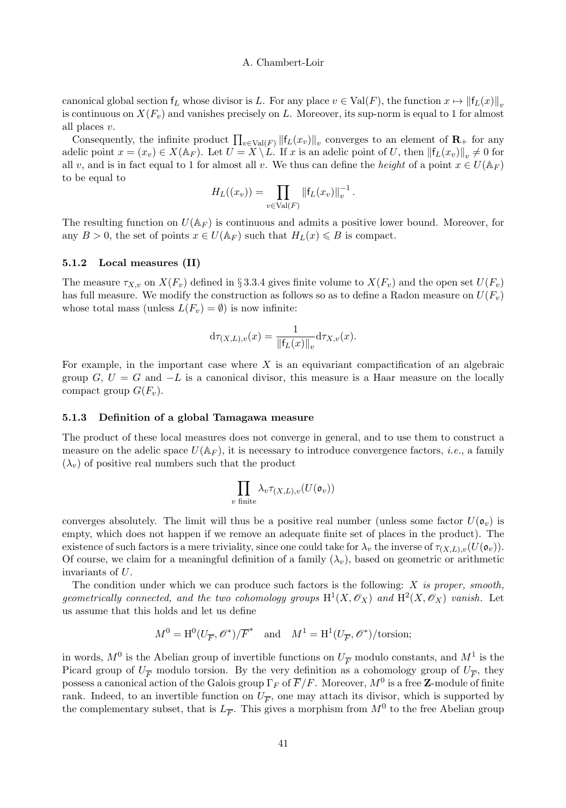canonical global section  $f_L$  whose divisor is L. For any place  $v \in Val(F)$ , the function  $x \mapsto ||f_L(x)||_v$ is continuous on  $X(F_v)$  and vanishes precisely on L. Moreover, its sup-norm is equal to 1 for almost all places v.

Consequently, the infinite product  $\prod_{v \in \text{Val}(F)} ||f_L(x_v)||_v$  converges to an element of  $\mathbf{R}_+$  for any adelic point  $x = (x_v) \in X(\mathbb{A}_F)$ . Let  $U = X \setminus L$ . If x is an adelic point of U, then  $||f_L(x_v)||_v \neq 0$  for all v, and is in fact equal to 1 for almost all v. We thus can define the height of a point  $x \in U(\mathbb{A}_F)$ to be equal to

$$
H_L((x_v)) = \prod_{v \in \text{Val}(F)} \|\mathsf{f}_L(x_v)\|_v^{-1}.
$$

The resulting function on  $U(\mathbb{A}_F)$  is continuous and admits a positive lower bound. Moreover, for any  $B > 0$ , the set of points  $x \in U(\mathbb{A}_F)$  such that  $H_L(x) \leq B$  is compact.

#### 5.1.2 Local measures (II)

The measure  $\tau_{X,v}$  on  $X(F_v)$  defined in § 3.3.4 gives finite volume to  $X(F_v)$  and the open set  $U(F_v)$ has full measure. We modify the construction as follows so as to define a Radon measure on  $U(F_n)$ whose total mass (unless  $L(F_v) = \emptyset$ ) is now infinite:

$$
d\tau_{(X,L),v}(x) = \frac{1}{\|f_L(x)\|_v} d\tau_{X,v}(x).
$$

For example, in the important case where  $X$  is an equivariant compactification of an algebraic group  $G, U = G$  and  $-L$  is a canonical divisor, this measure is a Haar measure on the locally compact group  $G(F_v)$ .

#### 5.1.3 Definition of a global Tamagawa measure

The product of these local measures does not converge in general, and to use them to construct a measure on the adelic space  $U(\mathbb{A}_F)$ , it is necessary to introduce convergence factors, *i.e.*, a family  $(\lambda_v)$  of positive real numbers such that the product

$$
\prod_{v \textrm{ finite}} \lambda_v \tau_{(X,L),v}(U(\mathfrak o_v))
$$

converges absolutely. The limit will thus be a positive real number (unless some factor  $U(\mathfrak{o}_v)$ ) is empty, which does not happen if we remove an adequate finite set of places in the product). The existence of such factors is a mere triviality, since one could take for  $\lambda_v$  the inverse of  $\tau_{(X,L),v}(U(\mathfrak{o}_v)).$ Of course, we claim for a meaningful definition of a family  $(\lambda_v)$ , based on geometric or arithmetic invariants of U.

The condition under which we can produce such factors is the following:  $X$  is proper, smooth, geometrically connected, and the two cohomology groups  $H^1(X, \mathcal{O}_X)$  and  $H^2(X, \mathcal{O}_X)$  vanish. Let us assume that this holds and let us define

$$
M^0 = \mathrm{H}^0(U_{\overline{F}}, \mathscr{O}^*)/\overline{F}^* \quad \text{and} \quad M^1 = \mathrm{H}^1(U_{\overline{F}}, \mathscr{O}^*)/\text{torsion};
$$

in words,  $M^0$  is the Abelian group of invertible functions on  $U_{\overline{F}}$  modulo constants, and  $M^1$  is the Picard group of  $U_{\overline{F}}$  modulo torsion. By the very definition as a cohomology group of  $U_{\overline{F}}$ , they possess a canonical action of the Galois group  $\Gamma_F$  of  $\overline{F}/F$ . Moreover,  $M^0$  is a free **Z**-module of finite rank. Indeed, to an invertible function on  $U_{\overline{F}}$ , one may attach its divisor, which is supported by the complementary subset, that is  $L_{\overline{F}}$ . This gives a morphism from  $M^0$  to the free Abelian group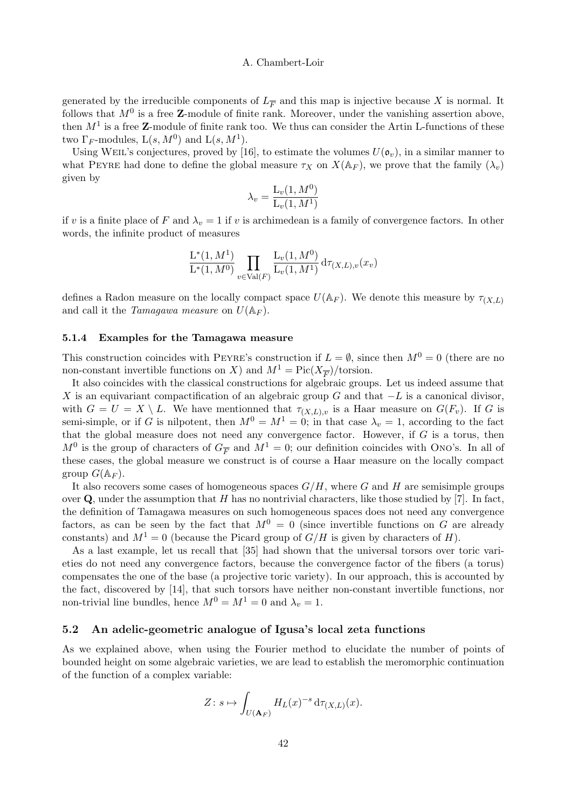generated by the irreducible components of  $L_{\overline{F}}$  and this map is injective because X is normal. It follows that  $M^0$  is a free **Z**-module of finite rank. Moreover, under the vanishing assertion above, then  $M<sup>1</sup>$  is a free **Z**-module of finite rank too. We thus can consider the Artin L-functions of these two  $\Gamma_F$ -modules,  $L(s, M^0)$  and  $L(s, M^1)$ .

Using WEIL's conjectures, proved by [16], to estimate the volumes  $U(\mathfrak{o}_v)$ , in a similar manner to what PEYRE had done to define the global measure  $\tau_X$  on  $X(\mathbb{A}_F)$ , we prove that the family  $(\lambda_v)$ given by

$$
\lambda_v = \frac{\mathcal{L}_v(1, M^0)}{\mathcal{L}_v(1, M^1)}
$$

if v is a finite place of F and  $\lambda_v = 1$  if v is archimedean is a family of convergence factors. In other words, the infinite product of measures

$$
\frac{\mathcal{L}^*(1, M^1)}{\mathcal{L}^*(1, M^0)} \prod_{v \in \text{Val}(F)} \frac{\mathcal{L}_v(1, M^0)}{\mathcal{L}_v(1, M^1)} d\tau_{(X, L), v}(x_v)
$$

defines a Radon measure on the locally compact space  $U(\mathbb{A}_F)$ . We denote this measure by  $\tau_{(X,L)}$ and call it the Tamagawa measure on  $U(\mathbb{A}_F)$ .

#### 5.1.4 Examples for the Tamagawa measure

This construction coincides with PEYRE's construction if  $L = \emptyset$ , since then  $M^0 = 0$  (there are no non-constant invertible functions on X) and  $M^1 = Pic(X_{\overline{F}})/\text{torsion}$ .

It also coincides with the classical constructions for algebraic groups. Let us indeed assume that X is an equivariant compactification of an algebraic group G and that  $-L$  is a canonical divisor, with  $G = U = X \setminus L$ . We have mentionned that  $\tau_{(X,L),v}$  is a Haar measure on  $G(F_v)$ . If G is semi-simple, or if G is nilpotent, then  $M^0 = M^1 = 0$ ; in that case  $\lambda_v = 1$ , according to the fact that the global measure does not need any convergence factor. However, if  $G$  is a torus, then  $M^0$  is the group of characters of  $G_{\overline{F}}$  and  $M^1 = 0$ ; our definition coincides with Ono's. In all of these cases, the global measure we construct is of course a Haar measure on the locally compact group  $G(\mathbb{A}_F)$ .

It also recovers some cases of homogeneous spaces  $G/H$ , where G and H are semisimple groups over  $\bf Q$ , under the assumption that H has no nontrivial characters, like those studied by [7]. In fact, the definition of Tamagawa measures on such homogeneous spaces does not need any convergence factors, as can be seen by the fact that  $M^0 = 0$  (since invertible functions on G are already constants) and  $M^1 = 0$  (because the Picard group of  $G/H$  is given by characters of H).

As a last example, let us recall that [35] had shown that the universal torsors over toric varieties do not need any convergence factors, because the convergence factor of the fibers (a torus) compensates the one of the base (a projective toric variety). In our approach, this is accounted by the fact, discovered by [14], that such torsors have neither non-constant invertible functions, nor non-trivial line bundles, hence  $M^0 = M^1 = 0$  and  $\lambda_v = 1$ .

## 5.2 An adelic-geometric analogue of Igusa's local zeta functions

As we explained above, when using the Fourier method to elucidate the number of points of bounded height on some algebraic varieties, we are lead to establish the meromorphic continuation of the function of a complex variable:

$$
Z: s \mapsto \int_{U(\mathbf{A}_F)} H_L(x)^{-s} d\tau_{(X,L)}(x).
$$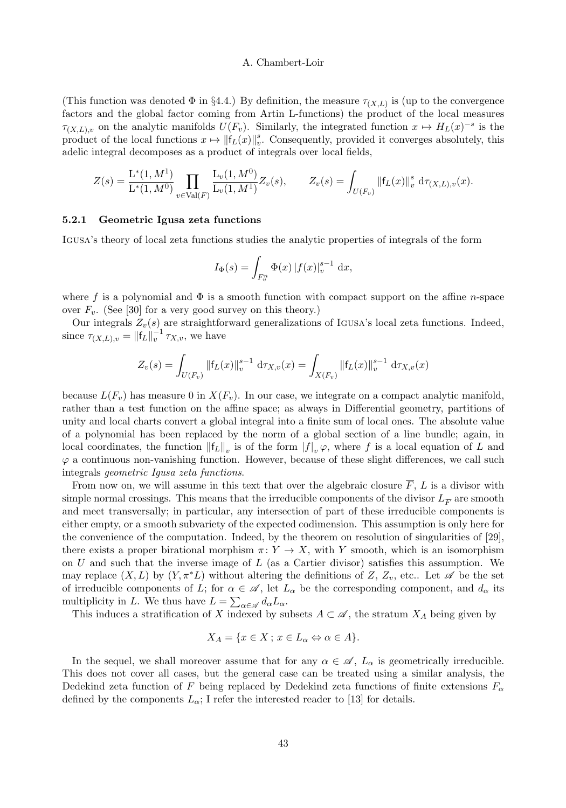(This function was denoted  $\Phi$  in §4.4.) By definition, the measure  $\tau_{(X,L)}$  is (up to the convergence factors and the global factor coming from Artin L-functions) the product of the local measures  $\tau_{(X,L),v}$  on the analytic manifolds  $U(F_v)$ . Similarly, the integrated function  $x \mapsto H_L(x)^{-s}$  is the product of the local functions  $x \mapsto ||f_L(x)||_v^s$ . Consequently, provided it converges absolutely, this adelic integral decomposes as a product of integrals over local fields,

$$
Z(s) = \frac{\mathcal{L}^*(1, M^1)}{\mathcal{L}^*(1, M^0)} \prod_{v \in \text{Val}(F)} \frac{\mathcal{L}_v(1, M^0)}{\mathcal{L}_v(1, M^1)} Z_v(s), \qquad Z_v(s) = \int_{U(F_v)} ||f_L(x)||_v^s \, d\tau_{(X, L), v}(x).
$$

## 5.2.1 Geometric Igusa zeta functions

Igusa's theory of local zeta functions studies the analytic properties of integrals of the form

$$
I_{\Phi}(s) = \int_{F_v^n} \Phi(x) |f(x)|_v^{s-1} dx,
$$

where f is a polynomial and  $\Phi$  is a smooth function with compact support on the affine *n*-space over  $F_v$ . (See [30] for a very good survey on this theory.)

Our integrals  $Z_v(s)$  are straightforward generalizations of IGUSA's local zeta functions. Indeed, since  $\tau_{(X,L),v} = ||f_L||_v^{-1} \tau_{X,v}$ , we have

$$
Z_{v}(s) = \int_{U(F_{v})} \|\mathsf{f}_{L}(x)\|_{v}^{s-1} d\tau_{X,v}(x) = \int_{X(F_{v})} \|\mathsf{f}_{L}(x)\|_{v}^{s-1} d\tau_{X,v}(x)
$$

because  $L(F_v)$  has measure 0 in  $X(F_v)$ . In our case, we integrate on a compact analytic manifold, rather than a test function on the affine space; as always in Differential geometry, partitions of unity and local charts convert a global integral into a finite sum of local ones. The absolute value of a polynomial has been replaced by the norm of a global section of a line bundle; again, in local coordinates, the function  $||f_L||_v$  is of the form  $|f|_v \varphi$ , where f is a local equation of L and  $\varphi$  a continuous non-vanishing function. However, because of these slight differences, we call such integrals geometric Igusa zeta functions.

From now on, we will assume in this text that over the algebraic closure  $\overline{F}$ , L is a divisor with simple normal crossings. This means that the irreducible components of the divisor  $L_{\overline{F}}$  are smooth and meet transversally; in particular, any intersection of part of these irreducible components is either empty, or a smooth subvariety of the expected codimension. This assumption is only here for the convenience of the computation. Indeed, by the theorem on resolution of singularities of [29], there exists a proper birational morphism  $\pi: Y \to X$ , with Y smooth, which is an isomorphism on U and such that the inverse image of  $L$  (as a Cartier divisor) satisfies this assumption. We may replace  $(X, L)$  by  $(Y, \pi^*L)$  without altering the definitions of Z,  $Z_v$ , etc.. Let  $\mathscr A$  be the set of irreducible components of L; for  $\alpha \in \mathscr{A}$ , let  $L_{\alpha}$  be the corresponding component, and  $d_{\alpha}$  its multiplicity in L. We thus have  $L = \sum_{\alpha \in \mathscr{A}} d_{\alpha} L_{\alpha}$ .

This induces a stratification of X indexed by subsets  $A \subset \mathscr{A}$ , the stratum  $X_A$  being given by

$$
X_A = \{ x \in X \, ; \, x \in L_\alpha \Leftrightarrow \alpha \in A \}.
$$

In the sequel, we shall moreover assume that for any  $\alpha \in \mathscr{A}$ ,  $L_{\alpha}$  is geometrically irreducible. This does not cover all cases, but the general case can be treated using a similar analysis, the Dedekind zeta function of F being replaced by Dedekind zeta functions of finite extensions  $F_{\alpha}$ defined by the components  $L_{\alpha}$ ; I refer the interested reader to [13] for details.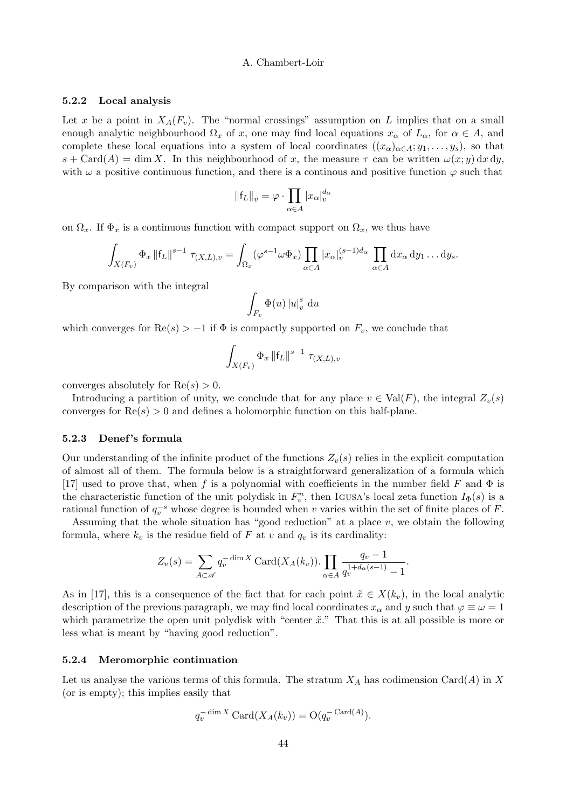#### 5.2.2 Local analysis

Let x be a point in  $X_A(F_v)$ . The "normal crossings" assumption on L implies that on a small enough analytic neighbourhood  $\Omega_x$  of x, one may find local equations  $x_\alpha$  of  $L_\alpha$ , for  $\alpha \in A$ , and complete these local equations into a system of local coordinates  $((x_{\alpha})_{\alpha\in A}; y_1,\ldots,y_s)$ , so that  $s + \text{Card}(A) = \dim X$ . In this neighbourhood of x, the measure  $\tau$  can be written  $\omega(x; y) dx dy$ , with  $\omega$  a positive continuous function, and there is a continuous and positive function  $\varphi$  such that

$$
\|\mathsf{f}_L\|_v = \varphi \cdot \prod_{\alpha \in A} |x_\alpha|_v^{d_\alpha}
$$

on  $\Omega_x$ . If  $\Phi_x$  is a continuous function with compact support on  $\Omega_x$ , we thus have

$$
\int_{X(F_v)} \Phi_x \, \|f_L\|^{s-1} \, \tau_{(X,L),v} = \int_{\Omega_x} (\varphi^{s-1} \omega \Phi_x) \prod_{\alpha \in A} |x_\alpha|_v^{(s-1)d_\alpha} \, \prod_{\alpha \in A} dx_\alpha \, dy_1 \dots dy_s.
$$

By comparison with the integral

$$
\int_{F_v} \Phi(u) \left| u \right|_v^s \, \mathrm{d}u
$$

which converges for  $\text{Re}(s) > -1$  if  $\Phi$  is compactly supported on  $F_v$ , we conclude that

$$
\int_{X(F_v)} \Phi_x \, \|f_L\|^{s-1} \, \tau_{(X,L),v}
$$

converges absolutely for  $\text{Re}(s) > 0$ .

Introducing a partition of unity, we conclude that for any place  $v \in Val(F)$ , the integral  $Z_v(s)$ converges for  $Re(s) > 0$  and defines a holomorphic function on this half-plane.

#### 5.2.3 Denef 's formula

Our understanding of the infinite product of the functions  $Z_v(s)$  relies in the explicit computation of almost all of them. The formula below is a straightforward generalization of a formula which [17] used to prove that, when f is a polynomial with coefficients in the number field F and  $\Phi$  is the characteristic function of the unit polydisk in  $F_v^n$ , then Igusa's local zeta function  $I_{\Phi}(s)$  is a rational function of  $q_v^{-s}$  whose degree is bounded when v varies within the set of finite places of F.

Assuming that the whole situation has "good reduction" at a place  $v$ , we obtain the following formula, where  $k_v$  is the residue field of F at v and  $q_v$  is its cardinality:

$$
Z_v(s) = \sum_{A \subset \mathscr{A}} q_v^{-\dim X} \operatorname{Card}(X_A(k_v)) \cdot \prod_{\alpha \in A} \frac{q_v - 1}{q_v^{1 + d_\alpha(s-1)} - 1}.
$$

As in [17], this is a consequence of the fact that for each point  $\tilde{x} \in X(k_v)$ , in the local analytic description of the previous paragraph, we may find local coordinates  $x_\alpha$  and y such that  $\varphi \equiv \omega = 1$ which parametrize the open unit polydisk with "center  $\tilde{x}$ ." That this is at all possible is more or less what is meant by "having good reduction".

# 5.2.4 Meromorphic continuation

Let us analyse the various terms of this formula. The stratum  $X_A$  has codimension Card(A) in X (or is empty); this implies easily that

$$
q_v^{-\dim X} \operatorname{Card}(X_A(k_v)) = \mathcal{O}(q_v^{-\operatorname{Card}(A)}).
$$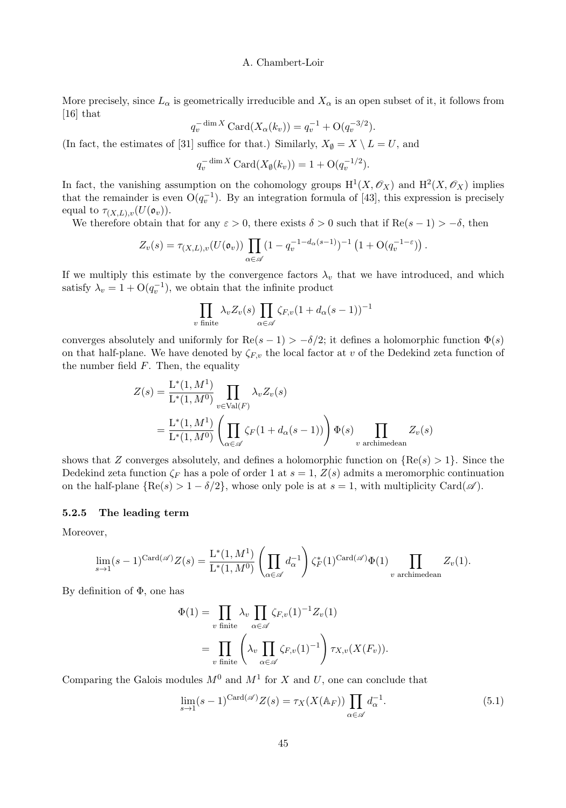More precisely, since  $L_{\alpha}$  is geometrically irreducible and  $X_{\alpha}$  is an open subset of it, it follows from [16] that

$$
q_v^{-\dim X} \operatorname{Card}(X_{\alpha}(k_v)) = q_v^{-1} + \mathcal{O}(q_v^{-3/2}).
$$

(In fact, the estimates of [31] suffice for that.) Similarly,  $X_{\emptyset} = X \setminus L = U$ , and

$$
q_v^{-\dim X} \operatorname{Card}(X_{\emptyset}(k_v)) = 1 + \mathrm{O}(q_v^{-1/2}).
$$

In fact, the vanishing assumption on the cohomology groups  $H^1(X, \mathcal{O}_X)$  and  $H^2(X, \mathcal{O}_X)$  implies that the remainder is even  $O(q_v^{-1})$ . By an integration formula of [43], this expression is precisely equal to  $\tau_{(X,L),v}(U(\mathfrak{o}_{v})).$ 

We therefore obtain that for any  $\varepsilon > 0$ , there exists  $\delta > 0$  such that if Re( $s - 1$ ) > - $\delta$ , then

$$
Z_v(s) = \tau_{(X,L),v}(U(\mathfrak{o}_v)) \prod_{\alpha \in \mathscr{A}} (1 - q_v^{-1-d_{\alpha}(s-1)})^{-1} \left(1 + \mathrm{O}(q_v^{-1-\epsilon})\right).
$$

If we multiply this estimate by the convergence factors  $\lambda_v$  that we have introduced, and which satisfy  $\lambda_v = 1 + \mathcal{O}(q_v^{-1})$ , we obtain that the infinite product

$$
\prod_{v \text{ finite}} \lambda_v Z_v(s) \prod_{\alpha \in \mathscr{A}} \zeta_{F,v} (1 + d_\alpha(s-1))^{-1}
$$

converges absolutely and uniformly for  $\text{Re}(s-1) > -\delta/2$ ; it defines a holomorphic function  $\Phi(s)$ on that half-plane. We have denoted by  $\zeta_{F,v}$  the local factor at v of the Dedekind zeta function of the number field  $F$ . Then, the equality

$$
Z(s) = \frac{L^*(1, M^1)}{L^*(1, M^0)} \prod_{v \in \text{Val}(F)} \lambda_v Z_v(s)
$$
  
= 
$$
\frac{L^*(1, M^1)}{L^*(1, M^0)} \left( \prod_{\alpha \in \mathscr{A}} \zeta_F(1 + d_\alpha(s - 1)) \right) \Phi(s) \prod_{v \text{ archimedean}} Z_v(s)
$$

shows that Z converges absolutely, and defines a holomorphic function on  $\{Re(s) > 1\}$ . Since the Dedekind zeta function  $\zeta_F$  has a pole of order 1 at  $s = 1$ ,  $Z(s)$  admits a meromorphic continuation on the half-plane  $\{Re(s) > 1 - \delta/2\}$ , whose only pole is at  $s = 1$ , with multiplicity Card( $\mathscr{A}$ ).

#### 5.2.5 The leading term

Moreover,

$$
\lim_{s \to 1} (s-1)^{\mathrm{Card}(\mathscr{A})} Z(s) = \frac{\mathrm{L}^*(1,M^1)}{\mathrm{L}^*(1,M^0)} \left( \prod_{\alpha \in \mathscr{A}} d_{\alpha}^{-1} \right) \zeta_F^*(1)^{\mathrm{Card}(\mathscr{A})} \Phi(1) \prod_{v \text{ archimedean}} Z_v(1).
$$

By definition of  $\Phi$ , one has

$$
\Phi(1) = \prod_{v \text{ finite}} \lambda_v \prod_{\alpha \in \mathscr{A}} \zeta_{F,v}(1)^{-1} Z_v(1)
$$

$$
= \prod_{v \text{ finite}} \left( \lambda_v \prod_{\alpha \in \mathscr{A}} \zeta_{F,v}(1)^{-1} \right) \tau_{X,v}(X(F_v)).
$$

Comparing the Galois modules  $M^0$  and  $M^1$  for X and U, one can conclude that

$$
\lim_{s \to 1} (s-1)^{\operatorname{Card}(\mathscr{A})} Z(s) = \tau_X(X(\mathbb{A}_F)) \prod_{\alpha \in \mathscr{A}} d_{\alpha}^{-1}.
$$
 (5.1)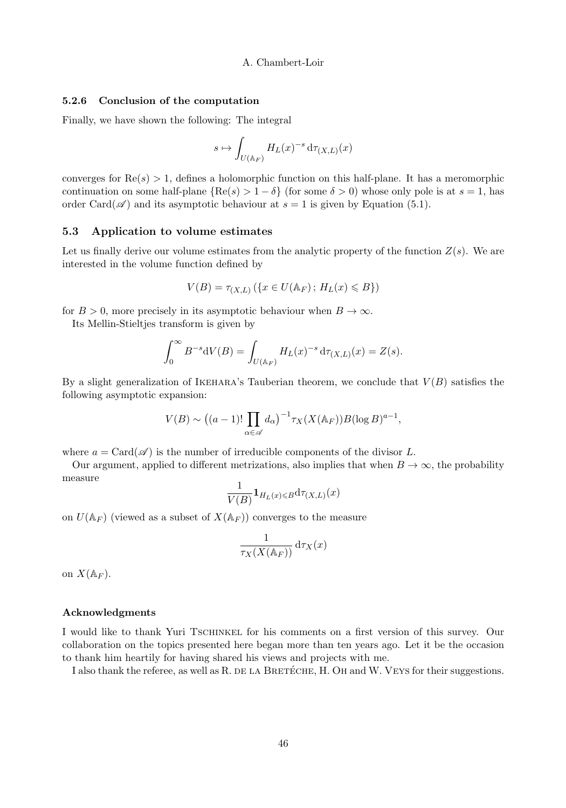#### 5.2.6 Conclusion of the computation

Finally, we have shown the following: The integral

$$
s\mapsto \int_{U(\mathbb{A}_F)}H_L(x)^{-s}\,\mathrm{d}\tau_{(X,L)}(x)
$$

converges for  $\text{Re}(s) > 1$ , defines a holomorphic function on this half-plane. It has a meromorphic continuation on some half-plane  ${Re(s) > 1 - \delta}$  (for some  $\delta > 0$ ) whose only pole is at  $s = 1$ , has order Card( $\mathscr{A}$ ) and its asymptotic behaviour at  $s = 1$  is given by Equation (5.1).

# 5.3 Application to volume estimates

Let us finally derive our volume estimates from the analytic property of the function  $Z(s)$ . We are interested in the volume function defined by

$$
V(B) = \tau_{(X,L)}\left(\{x \in U(\mathbb{A}_F) \, ; \, H_L(x) \leq B\}\right)
$$

for  $B > 0$ , more precisely in its asymptotic behaviour when  $B \to \infty$ .

Its Mellin-Stieltjes transform is given by

$$
\int_0^{\infty} B^{-s} dV(B) = \int_{U(\mathbb{A}_F)} H_L(x)^{-s} d\tau_{(X,L)}(x) = Z(s).
$$

By a slight generalization of IKEHARA's Tauberian theorem, we conclude that  $V(B)$  satisfies the following asymptotic expansion:

$$
V(B) \sim ((a-1)! \prod_{\alpha \in \mathscr{A}} d_{\alpha})^{-1} \tau_X(X(\mathbb{A}_F)) B(\log B)^{a-1},
$$

where  $a = \text{Card}(\mathscr{A})$  is the number of irreducible components of the divisor L.

Our argument, applied to different metrizations, also implies that when  $B \to \infty$ , the probability measure

$$
\frac{1}{V(B)}\mathbf{1}_{H_L(x)\leq B}\mathrm{d}\tau_{(X,L)}(x)
$$

on  $U(\mathbb{A}_F)$  (viewed as a subset of  $X(\mathbb{A}_F)$ ) converges to the measure

$$
\frac{1}{\tau_X(X(\mathbb{A}_F))} \,\mathrm{d} \tau_X(x)
$$

on  $X(\mathbb{A}_F)$ .

#### Acknowledgments

I would like to thank Yuri Tschinkel for his comments on a first version of this survey. Our collaboration on the topics presented here began more than ten years ago. Let it be the occasion to thank him heartily for having shared his views and projects with me.

I also thank the referee, as well as R. DE LA BRETÉCHE, H. OH and W. VEYS for their suggestions.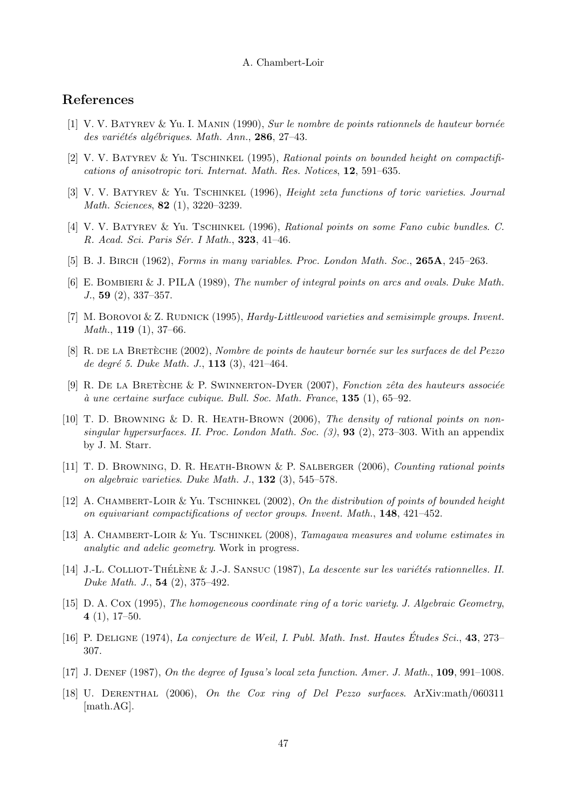# References

- $[1]$  V. V. BATYREV & Yu. I. MANIN (1990), Sur le nombre de points rationnels de hauteur bornée des variétés algébriques. Math. Ann., 286, 27–43.
- [2] V. V. BATYREV & Yu. TSCHINKEL (1995), Rational points on bounded height on compactifications of anisotropic tori. Internat. Math. Res. Notices, 12, 591–635.
- [3] V. V. BATYREV & Yu. TSCHINKEL (1996), Height zeta functions of toric varieties. Journal Math. Sciences, 82 (1), 3220–3239.
- [4] V. V. Batyrev & Yu. Tschinkel (1996), Rational points on some Fano cubic bundles. C. R. Acad. Sci. Paris Sér. I Math., **323**, 41–46.
- [5] B. J. BIRCH (1962), Forms in many variables. Proc. London Math. Soc., 265A, 245-263.
- [6] E. BOMBIERI & J. PILA (1989), The number of integral points on arcs and ovals. Duke Math. J., 59 (2), 337–357.
- [7] M. BOROVOI & Z. RUDNICK (1995), Hardy-Littlewood varieties and semisimple groups. Invent. *Math.*, **119** (1), 37–66.
- [8] R. DE LA BRETÈCHE (2002), Nombre de points de hauteur bornée sur les surfaces de del Pezzo de degré 5. Duke Math. J.,  $113$  (3),  $421-464$ .
- [9] R. DE LA BRETÈCHE & P. SWINNERTON-DYER (2007), Fonction zêta des hauteurs associée  $\dot{a}$  une certaine surface cubique. Bull. Soc. Math. France, 135 (1), 65–92.
- [10] T. D. Browning & D. R. Heath-Brown (2006), The density of rational points on nonsingular hypersurfaces. II. Proc. London Math. Soc.  $(3)$ , **93**  $(2)$ , 273–303. With an appendix by J. M. Starr.
- [11] T. D. Browning, D. R. Heath-Brown & P. Salberger (2006), Counting rational points on algebraic varieties. Duke Math. J., 132 (3), 545–578.
- [12] A. CHAMBERT-LOIR & Yu. TSCHINKEL  $(2002)$ , On the distribution of points of bounded height on equivariant compactifications of vector groups. Invent. Math., 148, 421–452.
- [13] A. CHAMBERT-LOIR & Yu. TSCHINKEL (2008), Tamagawa measures and volume estimates in analytic and adelic geometry. Work in progress.
- [14] J.-L. COLLIOT-THÉLÈNE & J.-J. SANSUC (1987), La descente sur les variétés rationnelles. II. Duke Math. J., 54 (2), 375–492.
- [15] D. A. Cox (1995), The homogeneous coordinate ring of a toric variety. J. Algebraic Geometry, 4  $(1)$ , 17–50.
- $[16]$  P. DELIGNE (1974), La conjecture de Weil, I. Publ. Math. Inst. Hautes Études Sci., 43, 273– 307.
- $[17]$  J. DENEF (1987), On the degree of Igusa's local zeta function. Amer. J. Math., 109, 991–1008.
- [18] U. Derenthal (2006), On the Cox ring of Del Pezzo surfaces. ArXiv:math/060311 [math.AG].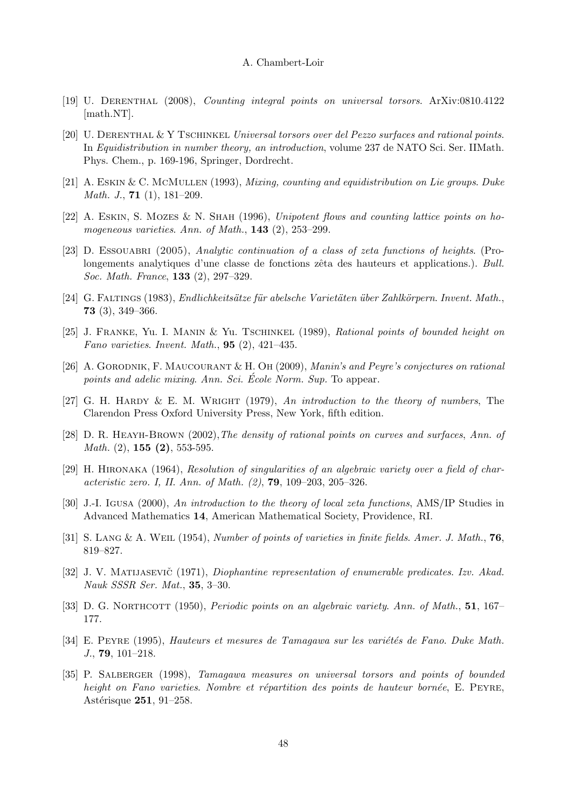- [19] U. Derenthal (2008), Counting integral points on universal torsors. ArXiv:0810.4122 [math.NT].
- [20] U. DERENTHAL & Y TSCHINKEL Universal torsors over del Pezzo surfaces and rational points. In Equidistribution in number theory, an introduction, volume 237 de NATO Sci. Ser. IIMath. Phys. Chem., p. 169-196, Springer, Dordrecht.
- [21] A. Eskin & C. McMullen (1993), Mixing, counting and equidistribution on Lie groups. Duke *Math. J.*, **71** (1),  $181-209$ .
- [22] A. ESKIN, S. MOZES & N. SHAH (1996), Unipotent flows and counting lattice points on homogeneous varieties. Ann. of Math., 143 (2), 253–299.
- [23] D. ESSOUABRI (2005), Analytic continuation of a class of zeta functions of heights. (Prolongements analytiques d'une classe de fonctions zêta des hauteurs et applications.). Bull. Soc. Math. France, 133 (2), 297–329.
- [24] G. FALTINGS (1983), Endlichkeitsätze für abelsche Varietäten über Zahlkörpern. Invent. Math., 73 (3), 349–366.
- [25] J. Franke, Yu. I. Manin & Yu. Tschinkel (1989), Rational points of bounded height on Fano varieties. Invent. Math.,  $95$  (2), 421-435.
- [26] A. Gorodnik, F. Maucourant & H. Oh (2009), Manin's and Peyre's conjectures on rational points and adelic mixing. Ann. Sci. Ecole Norm. Sup. To appear.
- [27] G. H. HARDY & E. M. WRIGHT (1979), An introduction to the theory of numbers, The Clarendon Press Oxford University Press, New York, fifth edition.
- [28] D. R. HEAYH-BROWN (2002), The density of rational points on curves and surfaces, Ann. of *Math.*  $(2)$ , **155**  $(2)$ , 553-595.
- [29] H. Hironaka (1964), Resolution of singularities of an algebraic variety over a field of characteristic zero. I, II. Ann. of Math. (2), 79, 109–203, 205–326.
- [30] J.-I. Igusa (2000), An introduction to the theory of local zeta functions, AMS/IP Studies in Advanced Mathematics 14, American Mathematical Society, Providence, RI.
- [31] S. LANG & A. WEIL (1954), Number of points of varieties in finite fields. Amer. J. Math.,  $76$ , 819–827.
- [32] J. V. MATIJASEVIC<sup>\*</sup> (1971), *Diophantine representation of enumerable predicates. Izv. Akad.* Nauk SSSR Ser. Mat., 35, 3–30.
- [33] D. G. NORTHCOTT (1950), *Periodic points on an algebraic variety. Ann. of Math.*, **51**, 167– 177.
- [34] E. PEYRE (1995), Hauteurs et mesures de Tamagawa sur les variétés de Fano. Duke Math. J., 79, 101–218.
- [35] P. Salberger (1998), Tamagawa measures on universal torsors and points of bounded height on Fano varieties. Nombre et répartition des points de hauteur bornée, E. PEYRE, Astérisque 251, 91-258.